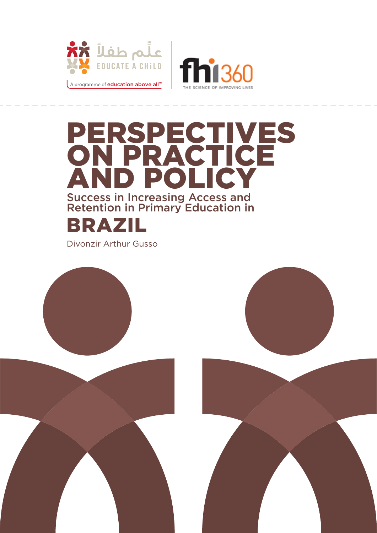



# Brazil Perspectives on Practice ND POLICY Success in Increasing Access and Retention in Primary Education in

Divonzir Arthur Gusso

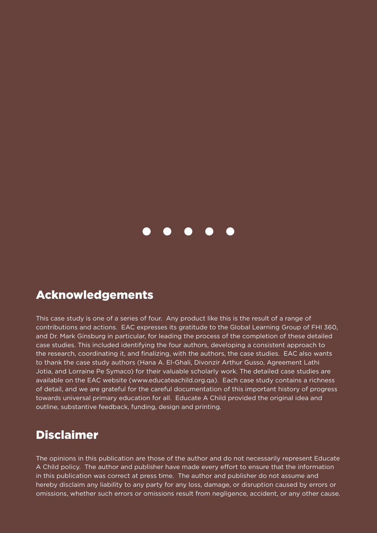

### Acknowledgements

This case study is one of a series of four. Any product like this is the result of a range of contributions and actions. EAC expresses its gratitude to the Global Learning Group of FHI 360, and Dr. Mark Ginsburg in particular, for leading the process of the completion of these detailed case studies. This included identifying the four authors, developing a consistent approach to the research, coordinating it, and finalizing, with the authors, the case studies. EAC also wants to thank the case study authors (Hana A. El-Ghali, Divonzir Arthur Gusso, Agreement Lathi Jotia, and Lorraine Pe Symaco) for their valuable scholarly work. The detailed case studies are available on the EAC website (www.educateachild.org.qa). Each case study contains a richness of detail, and we are grateful for the careful documentation of this important history of progress towards universal primary education for all. Educate A Child provided the original idea and outline, substantive feedback, funding, design and printing.

# **Disclaimer**

The opinions in this publication are those of the author and do not necessarily represent Educate A Child policy. The author and publisher have made every effort to ensure that the information in this publication was correct at press time. The author and publisher do not assume and hereby disclaim any liability to any party for any loss, damage, or disruption caused by errors or omissions, whether such errors or omissions result from negligence, accident, or any other cause.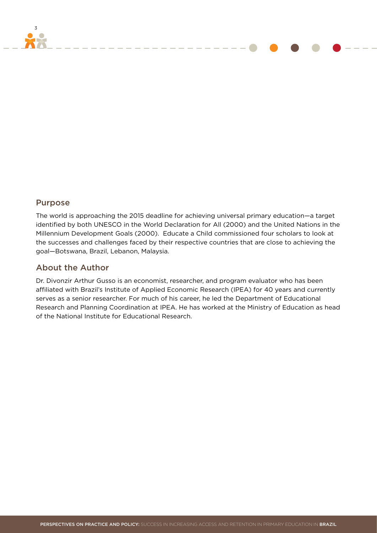#### Purpose

3

The world is approaching the 2015 deadline for achieving universal primary education—a target identified by both UNESCO in the World Declaration for All (2000) and the United Nations in the Millennium Development Goals (2000). Educate a Child commissioned four scholars to look at the successes and challenges faced by their respective countries that are close to achieving the goal—Botswana, Brazil, Lebanon, Malaysia.

#### About the Author

Dr. Divonzir Arthur Gusso is an economist, researcher, and program evaluator who has been affiliated with Brazil's Institute of Applied Economic Research (IPEA) for 40 years and currently serves as a senior researcher. For much of his career, he led the Department of Educational Research and Planning Coordination at IPEA. He has worked at the Ministry of Education as head of the National Institute for Educational Research.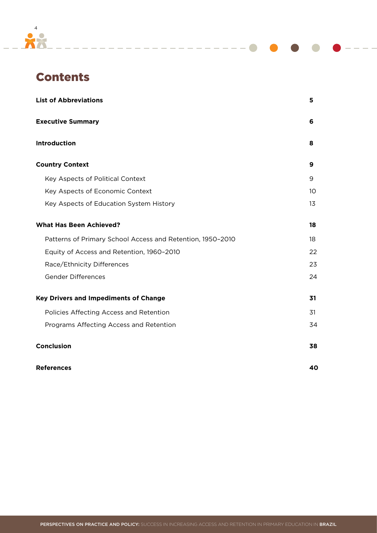

# **Contents**

| <b>List of Abbreviations</b>                               | 5  |
|------------------------------------------------------------|----|
| <b>Executive Summary</b>                                   | 6  |
| Introduction                                               | 8  |
| <b>Country Context</b>                                     | 9  |
| Key Aspects of Political Context                           | 9  |
| Key Aspects of Economic Context                            | 10 |
| Key Aspects of Education System History                    | 13 |
| <b>What Has Been Achieved?</b>                             | 18 |
| Patterns of Primary School Access and Retention, 1950-2010 | 18 |
| Equity of Access and Retention, 1960-2010                  | 22 |
| Race/Ethnicity Differences                                 | 23 |
| <b>Gender Differences</b>                                  | 24 |
| <b>Key Drivers and Impediments of Change</b>               | 31 |
| Policies Affecting Access and Retention                    | 31 |
| Programs Affecting Access and Retention                    | 34 |
| Conclusion                                                 | 38 |
| <b>References</b>                                          | 40 |

\_\_\_\_\_\_\_\_\_\_\_\_\_\_\_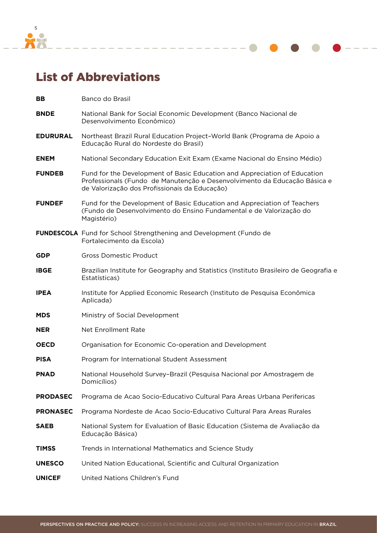<span id="page-4-0"></span>

# List of Abbreviations

| BB              | Banco do Brasil                                                                                                                                                                                         |
|-----------------|---------------------------------------------------------------------------------------------------------------------------------------------------------------------------------------------------------|
| <b>BNDE</b>     | National Bank for Social Economic Development (Banco Nacional de<br>Desenvolvimento Econômico)                                                                                                          |
| <b>EDURURAL</b> | Northeast Brazil Rural Education Project-World Bank (Programa de Apoio a<br>Educação Rural do Nordeste do Brasil)                                                                                       |
| <b>ENEM</b>     | National Secondary Education Exit Exam (Exame Nacional do Ensino Médio)                                                                                                                                 |
| <b>FUNDEB</b>   | Fund for the Development of Basic Education and Appreciation of Education<br>Professionals (Fundo de Manutenção e Desenvolvimento da Educação Básica e<br>de Valorização dos Profissionais da Educação) |
| <b>FUNDEF</b>   | Fund for the Development of Basic Education and Appreciation of Teachers<br>(Fundo de Desenvolvimento do Ensino Fundamental e de Valorização do<br>Magistério)                                          |
|                 | <b>FUNDESCOLA</b> Fund for School Strengthening and Development (Fundo de<br>Fortalecimento da Escola)                                                                                                  |
| <b>GDP</b>      | <b>Gross Domestic Product</b>                                                                                                                                                                           |
| <b>IBGE</b>     | Brazilian Institute for Geography and Statistics (Instituto Brasileiro de Geografia e<br>Estatísticas)                                                                                                  |
| <b>IPEA</b>     | Institute for Applied Economic Research (Instituto de Pesquisa Econômica<br>Aplicada)                                                                                                                   |
| <b>MDS</b>      | Ministry of Social Development                                                                                                                                                                          |
| <b>NER</b>      | <b>Net Enrollment Rate</b>                                                                                                                                                                              |
| <b>OECD</b>     | Organisation for Economic Co-operation and Development                                                                                                                                                  |
| <b>PISA</b>     | Program for International Student Assessment                                                                                                                                                            |
| <b>PNAD</b>     | National Household Survey-Brazil (Pesquisa Nacional por Amostragem de<br>Domicílios)                                                                                                                    |
| <b>PRODASEC</b> | Programa de Acao Socio-Educativo Cultural Para Areas Urbana Perifericas                                                                                                                                 |
| <b>PRONASEC</b> | Programa Nordeste de Acao Socio-Educativo Cultural Para Areas Rurales                                                                                                                                   |
| <b>SAEB</b>     | National System for Evaluation of Basic Education (Sistema de Avaliação da<br>Educação Básica)                                                                                                          |
| <b>TIMSS</b>    | Trends in International Mathematics and Science Study                                                                                                                                                   |
| <b>UNESCO</b>   | United Nation Educational, Scientific and Cultural Organization                                                                                                                                         |
| <b>UNICEF</b>   | United Nations Children's Fund                                                                                                                                                                          |

<u>المراجعة المساحية المساح</u>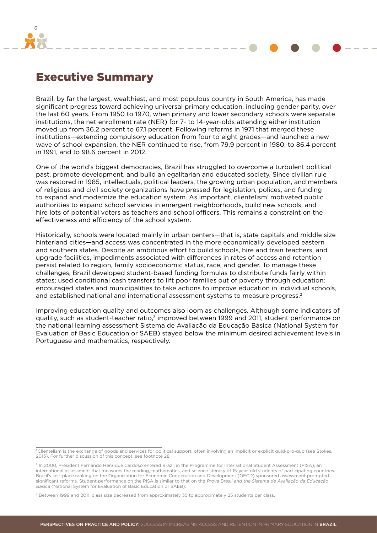<span id="page-5-0"></span>

### Executive Summary

Brazil, by far the largest, wealthiest, and most populous country in South America, has made significant progress toward achieving universal primary education, including gender parity, over the last 60 years. From 1950 to 1970, when primary and lower secondary schools were separate institutions, the net enrollment rate (NER) for 7- to 14-year-olds attending either institution moved up from 36.2 percent to 67.1 percent. Following reforms in 1971 that merged these institutions—extending compulsory education from four to eight grades—and launched a new wave of school expansion, the NER continued to rise, from 79.9 percent in 1980, to 86.4 percent in 1991, and to 98.6 percent in 2012.

One of the world's biggest democracies, Brazil has struggled to overcome a turbulent political past, promote development, and build an egalitarian and educated society. Since civilian rule was restored in 1985, intellectuals, political leaders, the growing urban population, and members of religious and civil society organizations have pressed for legislation, polices, and funding to expand and modernize the education system. As important, clientelism' motivated public authorities to expand school services in emergent neighborhoods, build new schools, and hire lots of potential voters as teachers and school officers. This remains a constraint on the effectiveness and efficiency of the school system.

Historically, schools were located mainly in urban centers—that is, state capitals and middle size hinterland cities—and access was concentrated in the more economically developed eastern and southern states. Despite an ambitious effort to build schools, hire and train teachers, and upgrade facilities, impediments associated with differences in rates of access and retention persist related to region, family socioeconomic status, race, and gender. To manage these challenges, Brazil developed student-based funding formulas to distribute funds fairly within states; used conditional cash transfers to lift poor families out of poverty through education; encouraged states and municipalities to take actions to improve education in individual schools, and established national and international assessment systems to measure progress.2

Improving education quality and outcomes also loom as challenges. Although some indicators of quality, such as student-teacher ratio,3 improved between 1999 and 2011, student performance on the national learning assessment Sistema de Avaliação da Educação Básica (National System for Evaluation of Basic Education or SAEB) stayed below the minimum desired achievement levels in Portuguese and mathematics, respectively.

<sup>&</sup>lt;sup>1</sup> Clientelism is the exchange of goods and services for political support, often involving an implicit or explicit quid-pro-quo (see Stokes, 2013). For further discussion of this concept, see footnote 28.

<sup>&</sup>lt;sup>2</sup> In 2000, President Fernando Henrique Cardoso entered Brazil in the Programme for International Student Assessment (PISA), an international assessment that measures the reading, mathematics, and science literacy of 15-year-old students of participating countries. Brazil's last-place ranking on the Organization for Economic Cooperation and Development (OECD) sponsored assessment prompted significant reforms. Student performance on the PISA is similar to that on the Prova Brasil and the Sistema de Avaliação da Educação Básica (National System for Evaluation of Basic Education or SAEB).

<sup>&</sup>lt;sup>3</sup> Between 1999 and 2011, class size decreased from approximately 35 to approximately 25 students per class.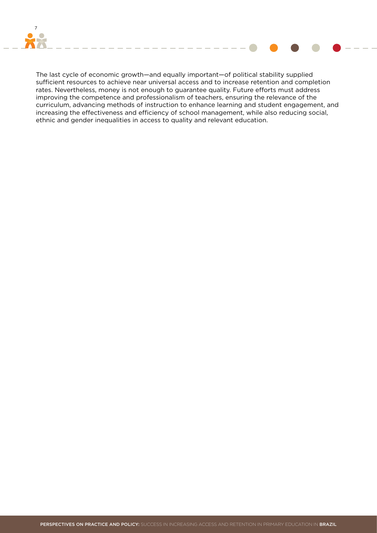



The last cycle of economic growth—and equally important—of political stability supplied sufficient resources to achieve near universal access and to increase retention and completion rates. Nevertheless, money is not enough to guarantee quality. Future efforts must address improving the competence and professionalism of teachers, ensuring the relevance of the curriculum, advancing methods of instruction to enhance learning and student engagement, and increasing the effectiveness and efficiency of school management, while also reducing social, ethnic and gender inequalities in access to quality and relevant education.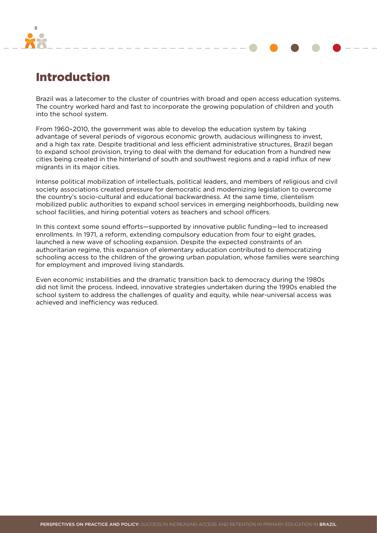<span id="page-7-0"></span>

## Introduction

Brazil was a latecomer to the cluster of countries with broad and open access education systems. The country worked hard and fast to incorporate the growing population of children and youth into the school system.

From 1960–2010, the government was able to develop the education system by taking advantage of several periods of vigorous economic growth, audacious willingness to invest, and a high tax rate. Despite traditional and less efficient administrative structures, Brazil began to expand school provision, trying to deal with the demand for education from a hundred new cities being created in the hinterland of south and southwest regions and a rapid influx of new migrants in its major cities.

Intense political mobilization of intellectuals, political leaders, and members of religious and civil society associations created pressure for democratic and modernizing legislation to overcome the country's socio-cultural and educational backwardness. At the same time, clientelism mobilized public authorities to expand school services in emerging neighborhoods, building new school facilities, and hiring potential voters as teachers and school officers.

In this context some sound efforts—supported by innovative public funding—led to increased enrollments. In 1971, a reform, extending compulsory education from four to eight grades, launched a new wave of schooling expansion. Despite the expected constraints of an authoritarian regime, this expansion of elementary education contributed to democratizing schooling access to the children of the growing urban population, whose families were searching for employment and improved living standards.

Even economic instabilities and the dramatic transition back to democracy during the 1980s did not limit the process. Indeed, innovative strategies undertaken during the 1990s enabled the school system to address the challenges of quality and equity, while near-universal access was achieved and inefficiency was reduced.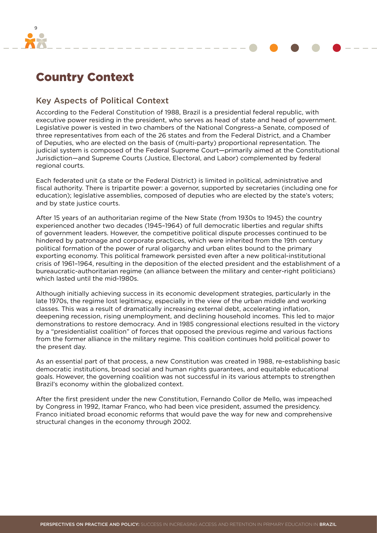<span id="page-8-0"></span>

# Country Context

#### Key Aspects of Political Context

According to the Federal Constitution of 1988, Brazil is a presidential federal republic, with executive power residing in the president, who serves as head of state and head of government. Legislative power is vested in two chambers of the National Congress–a Senate, composed of three representatives from each of the 26 states and from the Federal District, and a Chamber of Deputies, who are elected on the basis of (multi-party) proportional representation. The judicial system is composed of the Federal Supreme Court—primarily aimed at the Constitutional Jurisdiction—and Supreme Courts (Justice, Electoral, and Labor) complemented by federal regional courts.

Each federated unit (a state or the Federal District) is limited in political, administrative and fiscal authority. There is tripartite power: a governor, supported by secretaries (including one for education); legislative assemblies, composed of deputies who are elected by the state's voters; and by state justice courts.

After 15 years of an authoritarian regime of the New State (from 1930s to 1945) the country experienced another two decades (1945–1964) of full democratic liberties and regular shifts of government leaders. However, the competitive political dispute processes continued to be hindered by patronage and corporate practices, which were inherited from the 19th century political formation of the power of rural oligarchy and urban elites bound to the primary exporting economy. This political framework persisted even after a new political-institutional crisis of 1961–1964, resulting in the deposition of the elected president and the establishment of a bureaucratic-authoritarian regime (an alliance between the military and center-right politicians) which lasted until the mid-1980s.

Although initially achieving success in its economic development strategies, particularly in the late 1970s, the regime lost legitimacy, especially in the view of the urban middle and working classes. This was a result of dramatically increasing external debt, accelerating inflation, deepening recession, rising unemployment, and declining household incomes. This led to major demonstrations to restore democracy. And in 1985 congressional elections resulted in the victory by a "presidentialist coalition" of forces that opposed the previous regime and various factions from the former alliance in the military regime. This coalition continues hold political power to the present day.

As an essential part of that process, a new Constitution was created in 1988, re-establishing basic democratic institutions, broad social and human rights guarantees, and equitable educational goals. However, the governing coalition was not successful in its various attempts to strengthen Brazil's economy within the globalized context.

After the first president under the new Constitution, Fernando Collor de Mello, was impeached by Congress in 1992, Itamar Franco, who had been vice president, assumed the presidency. Franco initiated broad economic reforms that would pave the way for new and comprehensive structural changes in the economy through 2002.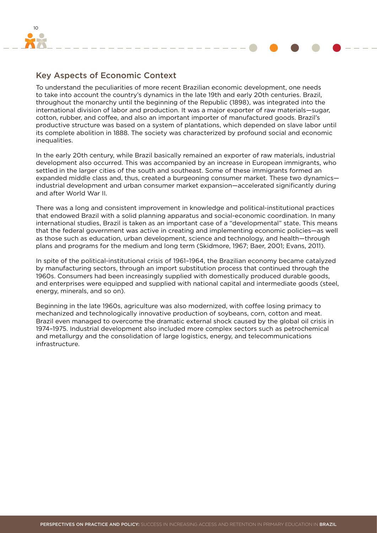<span id="page-9-0"></span>

### Key Aspects of Economic Context

To understand the peculiarities of more recent Brazilian economic development, one needs to take into account the country's dynamics in the late 19th and early 20th centuries. Brazil, throughout the monarchy until the beginning of the Republic (1898), was integrated into the international division of labor and production. It was a major exporter of raw materials—sugar, cotton, rubber, and coffee, and also an important importer of manufactured goods. Brazil's productive structure was based on a system of plantations, which depended on slave labor until its complete abolition in 1888. The society was characterized by profound social and economic inequalities.

In the early 20th century, while Brazil basically remained an exporter of raw materials, industrial development also occurred. This was accompanied by an increase in European immigrants, who settled in the larger cities of the south and southeast. Some of these immigrants formed an expanded middle class and, thus, created a burgeoning consumer market. These two dynamics industrial development and urban consumer market expansion—accelerated significantly during and after World War II.

There was a long and consistent improvement in knowledge and political-institutional practices that endowed Brazil with a solid planning apparatus and social-economic coordination. In many international studies, Brazil is taken as an important case of a "developmental" state. This means that the federal government was active in creating and implementing economic policies—as well as those such as education, urban development, science and technology, and health—through plans and programs for the medium and long term (Skidmore, 1967; Baer, 2001; Evans, 2011).

In spite of the political-institutional crisis of 1961–1964, the Brazilian economy became catalyzed by manufacturing sectors, through an import substitution process that continued through the 1960s. Consumers had been increasingly supplied with domestically produced durable goods, and enterprises were equipped and supplied with national capital and intermediate goods (steel, energy, minerals, and so on).

Beginning in the late 1960s, agriculture was also modernized, with coffee losing primacy to mechanized and technologically innovative production of soybeans, corn, cotton and meat. Brazil even managed to overcome the dramatic external shock caused by the global oil crisis in 1974–1975. Industrial development also included more complex sectors such as petrochemical and metallurgy and the consolidation of large logistics, energy, and telecommunications infrastructure.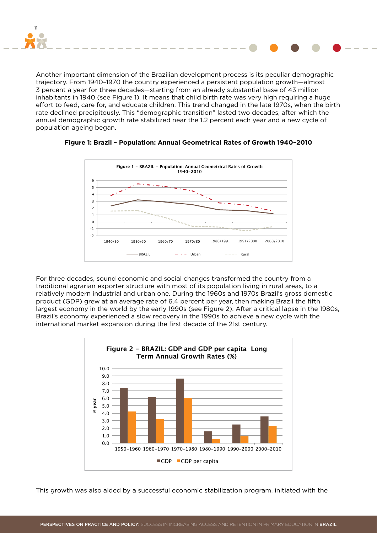

Another important dimension of the Brazilian development process is its peculiar demographic trajectory. From 1940–1970 the country experienced a persistent population growth—almost 3 percent a year for three decades—starting from an already substantial base of 43 million inhabitants in 1940 (see Figure 1). It means that child birth rate was very high requiring a huge effort to feed, care for, and educate children. This trend changed in the late 1970s, when the birth rate declined precipitously. This "demographic transition" lasted two decades, after which the annual demographic growth rate stabilized near the 1.2 percent each year and a new cycle of population ageing began.



#### **Figure 1: Brazil – Population: Annual Geometrical Rates of Growth 1940–2010**

For three decades, sound economic and social changes transformed the country from a traditional agrarian exporter structure with most of its population living in rural areas, to a relatively modern industrial and urban one. During the 1960s and 1970s Brazil's gross domestic product (GDP) grew at an average rate of 6.4 percent per year, then making Brazil the fifth largest economy in the world by the early 1990s (see Figure 2). After a critical lapse in the 1980s, Brazil's economy experienced a slow recovery in the 1990s to achieve a new cycle with the international market expansion during the first decade of the 21st century.



This growth was also aided by a successful economic stabilization program, initiated with the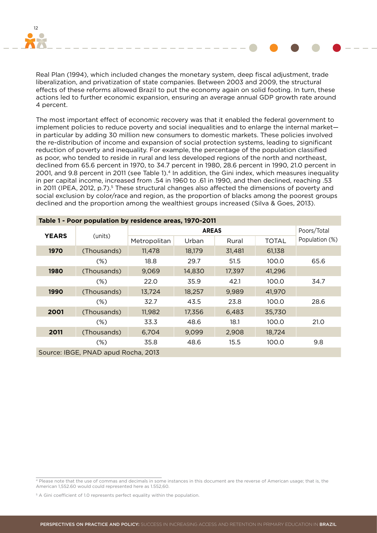

Real Plan (1994), which included changes the monetary system, deep fiscal adjustment, trade liberalization, and privatization of state companies. Between 2003 and 2009, the structural effects of these reforms allowed Brazil to put the economy again on solid footing. In turn, these actions led to further economic expansion, ensuring an average annual GDP growth rate around 4 percent.

The most important effect of economic recovery was that it enabled the federal government to implement policies to reduce poverty and social inequalities and to enlarge the internal market in particular by adding 30 million new consumers to domestic markets. These policies involved the re-distribution of income and expansion of social protection systems, leading to significant reduction of poverty and inequality. For example, the percentage of the population classified as poor, who tended to reside in rural and less developed regions of the north and northeast, declined from 65.6 percent in 1970, to 34.7 percent in 1980, 28.6 percent in 1990, 21.0 percent in 2001, and 9.8 percent in 2011 (see Table 1).<sup>4</sup> In addition, the Gini index, which measures inequality in per capital income, increased from .54 in 1960 to .61 in 1990, and then declined, reaching .53 in 2011 (IPEA, 2012, p.7).<sup>5</sup> These structural changes also affected the dimensions of poverty and social exclusion by color/race and region, as the proportion of blacks among the poorest groups declined and the proportion among the wealthiest groups increased (Silva & Goes, 2013).

| Table 1 - Poor population by residence areas, 1970-2011 |             |              |             |        |        |                |  |  |
|---------------------------------------------------------|-------------|--------------|-------------|--------|--------|----------------|--|--|
|                                                         |             |              | Poors/Total |        |        |                |  |  |
| <b>YEARS</b>                                            | (units)     | Metropolitan | Urban       | Rural  | TOTAL  | Population (%) |  |  |
| 1970                                                    | (Thousands) | 11,478       | 18,179      | 31,481 | 61,138 |                |  |  |
|                                                         | (%)         | 18.8         | 29.7        | 51.5   | 100.0  | 65.6           |  |  |
| 1980                                                    | (Thousands) | 9,069        | 14,830      | 17,397 | 41,296 |                |  |  |
|                                                         | (%)         | 22.0         | 35.9        | 42.1   | 100.0  | 34.7           |  |  |
| 1990                                                    | (Thousands) | 13,724       | 18,257      | 9,989  | 41,970 |                |  |  |
| (%)                                                     |             | 32.7         | 43.5        | 23.8   | 100.0  | 28.6           |  |  |
| 2001<br>(Thousands)                                     |             | 11,982       | 17,356      | 6,483  | 35,730 |                |  |  |
| $(\%)$                                                  |             | 33.3         | 48.6        | 18.1   | 100.0  | 21.0           |  |  |
| 2011                                                    | (Thousands) | 6,704        | 9,099       | 2,908  | 18,724 |                |  |  |
|                                                         | $(\%)$      | 35.8         | 48.6        | 15.5   | 100.0  | 9.8            |  |  |
| Source: IBGE, PNAD apud Rocha, 2013                     |             |              |             |        |        |                |  |  |

<sup>4</sup> Please note that the use of commas and decimals in some instances in this document are the reverse of American usage; that is, the American 1,552.60 would could represented here as 1.552,60.

<sup>&</sup>lt;sup>5</sup> A Gini coefficient of 1.0 represents perfect equality within the population.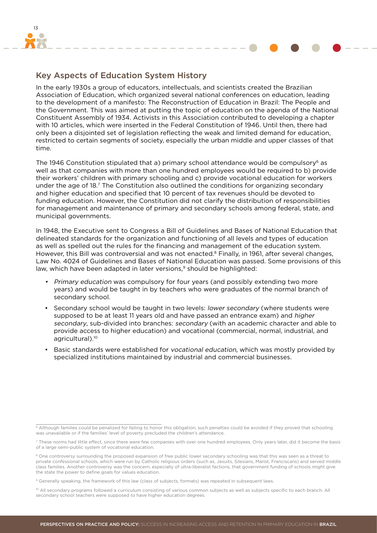<span id="page-12-0"></span>

### Key Aspects of Education System History

In the early 1930s a group of educators, intellectuals, and scientists created the Brazilian Association of Education, which organized several national conferences on education, leading to the development of a manifesto: The Reconstruction of Education in Brazil: The People and the Government. This was aimed at putting the topic of education on the agenda of the National Constituent Assembly of 1934. Activists in this Association contributed to developing a chapter with 10 articles, which were inserted in the Federal Constitution of 1946. Until then, there had only been a disjointed set of legislation reflecting the weak and limited demand for education, restricted to certain segments of society, especially the urban middle and upper classes of that time.

The 1946 Constitution stipulated that a) primary school attendance would be compulsory<sup>6</sup> as well as that companies with more than one hundred employees would be required to b) provide their workers' children with primary schooling and c) provide vocational education for workers under the age of 18.7 The Constitution also outlined the conditions for organizing secondary and higher education and specified that 10 percent of tax revenues should be devoted to funding education. However, the Constitution did not clarify the distribution of responsibilities for management and maintenance of primary and secondary schools among federal, state, and municipal governments.

In 1948, the Executive sent to Congress a Bill of Guidelines and Bases of National Education that delineated standards for the organization and functioning of all levels and types of education as well as spelled out the rules for the financing and management of the education system. However, this Bill was controversial and was not enacted.<sup>8</sup> Finally, in 1961, after several changes, Law No. 4024 of Guidelines and Bases of National Education was passed. Some provisions of this law, which have been adapted in later versions,<sup>9</sup> should be highlighted:

- Primary education was compulsory for four years (and possibly extending two more years) and would be taught in by teachers who were graduates of the normal branch of secondary school.
- Secondary school would be taught in two levels: lower secondary (where students were supposed to be at least 11 years old and have passed an entrance exam) and higher secondary, sub-divided into branches: secondary (with an academic character and able to provide access to higher education) and vocational (commercial, normal, industrial, and agricultural).<sup>10</sup>
- Basic standards were established for vocational education, which was mostly provided by specialized institutions maintained by industrial and commercial businesses.

<sup>&</sup>lt;sup>6</sup> Although families could be penalized for failing to honor this obligation, such penalties could be avoided if they proved that schooling was unavailable or if the families' level of poverty precluded the children's attendance.

<sup>&</sup>lt;sup>7</sup> These norms had little effect, since there were few companies with over one hundred employees. Only years later, did it become the basis of a large semi-public system of vocational education.

<sup>&</sup>lt;sup>8</sup> One controversy surrounding the proposed expansion of free public lower secondary schooling was that this was seen as a threat to private confessional schools, which were run by Catholic religious orders (such as, Jesuits, Silesians, Marist, Franciscans) and served middle class families. Another controversy was the concern, especially of ultra-liberalist factions, that government funding of schools might give the state the power to define goals for values education.

<sup>9</sup> Generally speaking, the framework of this law (class of subjects, formats) was repeated in subsequent laws.

<sup>&</sup>lt;sup>10</sup> All secondary programs followed a curriculum consisting of various common subjects as well as subjects specific to each branch. All secondary school teachers were supposed to have higher education degrees.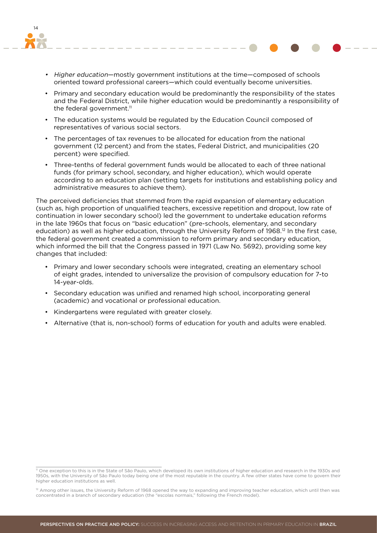

- Higher education—mostly government institutions at the time—composed of schools oriented toward professional careers—which could eventually become universities.
- • Primary and secondary education would be predominantly the responsibility of the states and the Federal District, while higher education would be predominantly a responsibility of the federal government.<sup>11</sup>
- • The education systems would be regulated by the Education Council composed of representatives of various social sectors.
- • The percentages of tax revenues to be allocated for education from the national government (12 percent) and from the states, Federal District, and municipalities (20 percent) were specified.
- • Three-tenths of federal government funds would be allocated to each of three national funds (for primary school, secondary, and higher education), which would operate according to an education plan (setting targets for institutions and establishing policy and administrative measures to achieve them).

The perceived deficiencies that stemmed from the rapid expansion of elementary education (such as, high proportion of unqualified teachers, excessive repetition and dropout, low rate of continuation in lower secondary school) led the government to undertake education reforms in the late 1960s that focus on "basic education" (pre-schools, elementary, and secondary education) as well as higher education, through the University Reform of 1968.<sup>12</sup> In the first case, the federal government created a commission to reform primary and secondary education, which informed the bill that the Congress passed in 1971 (Law No. 5692), providing some key changes that included:

- Primary and lower secondary schools were integrated, creating an elementary school of eight grades, intended to universalize the provision of compulsory education for 7-to 14-year-olds.
- • Secondary education was unified and renamed high school, incorporating general (academic) and vocational or professional education.
- • Kindergartens were regulated with greater closely.
- • Alternative (that is, non-school) forms of education for youth and adults were enabled.

<sup>11</sup> One exception to this is in the State of São Paulo, which developed its own institutions of higher education and research in the 1930s and 1950s, with the University of São Paulo today being one of the most reputable in the country. A few other states have come to govern their higher education institutions as well.

<sup>&</sup>lt;sup>12</sup> Among other issues, the University Reform of 1968 opened the way to expanding and improving teacher education, which until then was concentrated in a branch of secondary education (the "escolas normais," following the French model).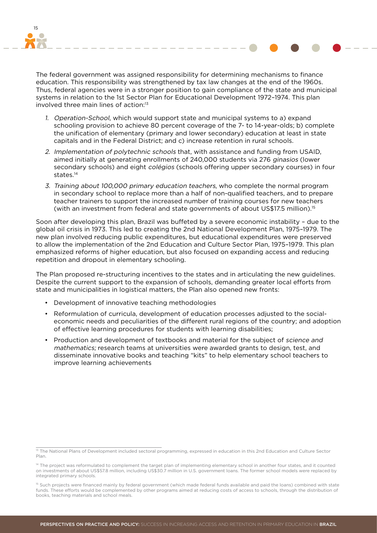

The federal government was assigned responsibility for determining mechanisms to finance education. This responsibility was strengthened by tax law changes at the end of the 1960s. Thus, federal agencies were in a stronger position to gain compliance of the state and municipal systems in relation to the 1st Sector Plan for Educational Development 1972–1974. This plan involved three main lines of action:<sup>13</sup>

- 1. Operation-School, which would support state and municipal systems to a) expand schooling provision to achieve 80 percent coverage of the 7- to 14-year-olds; b) complete the unification of elementary (primary and lower secondary) education at least in state capitals and in the Federal District; and c) increase retention in rural schools.
- 2. Implementation of polytechnic schools that, with assistance and funding from USAID, aimed initially at generating enrollments of 240,000 students via 276 ginasios (lower secondary schools) and eight *colégios* (schools offering upper secondary courses) in four states.14
- 3. Training about 100,000 primary education teachers, who complete the normal program in secondary school to replace more than a half of non-qualified teachers, and to prepare teacher trainers to support the increased number of training courses for new teachers (with an investment from federal and state governments of about US\$17.5 million).15

Soon after developing this plan, Brazil was buffeted by a severe economic instability – due to the global oil crisis in 1973. This led to creating the 2nd National Development Plan, 1975–1979. The new plan involved reducing public expenditures, but educational expenditures were preserved to allow the implementation of the 2nd Education and Culture Sector Plan, 1975–1979. This plan emphasized reforms of higher education, but also focused on expanding access and reducing repetition and dropout in elementary schooling.

The Plan proposed re-structuring incentives to the states and in articulating the new guidelines. Despite the current support to the expansion of schools, demanding greater local efforts from state and municipalities in logistical matters, the Plan also opened new fronts:

- • Development of innovative teaching methodologies
- • Reformulation of curricula, development of education processes adjusted to the socialeconomic needs and peculiarities of the different rural regions of the country; and adoption of effective learning procedures for students with learning disabilities;
- Production and development of textbooks and material for the subject of science and mathematics; research teams at universities were awarded grants to design, test, and disseminate innovative books and teaching "kits" to help elementary school teachers to improve learning achievements

<sup>13</sup> The National Plans of Development included sectoral programming, expressed in education in this 2nd Education and Culture Sector Plan.

<sup>&</sup>lt;sup>14</sup> The project was reformulated to complement the target plan of implementing elementary school in another four states, and it counted on investments of about US\$57.8 million, including US\$30.7 million in U.S. government loans. The former school models were replaced by integrated primary schools.

<sup>&</sup>lt;sup>15</sup> Such projects were financed mainly by federal government (which made federal funds available and paid the loans) combined with state funds. These efforts would be complemented by other programs aimed at reducing costs of access to schools, through the distribution of books, teaching materials and school meals.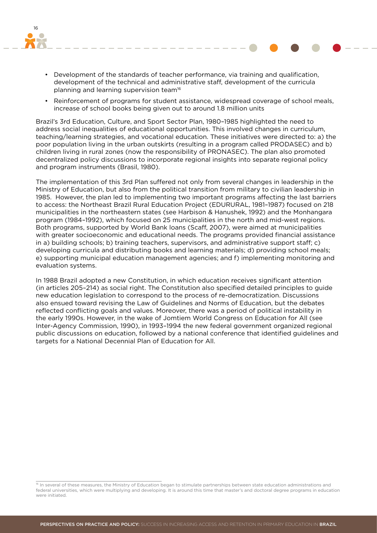

- Development of the standards of teacher performance, via training and qualification, development of the technical and administrative staff, development of the curricula planning and learning supervision team16
- Reinforcement of programs for student assistance, widespread coverage of school meals, increase of school books being given out to around 1.8 million units

Brazil's 3rd Education, Culture, and Sport Sector Plan, 1980–1985 highlighted the need to address social inequalities of educational opportunities. This involved changes in curriculum, teaching/learning strategies, and vocational education. These initiatives were directed to: a) the poor population living in the urban outskirts (resulting in a program called PRODASEC) and b) children living in rural zones (now the responsibility of PRONASEC). The plan also promoted decentralized policy discussions to incorporate regional insights into separate regional policy and program instruments (Brasil, 1980).

The implementation of this 3rd Plan suffered not only from several changes in leadership in the Ministry of Education, but also from the political transition from military to civilian leadership in 1985. However, the plan led to implementing two important programs affecting the last barriers to access: the Northeast Brazil Rural Education Project (EDURURAL, 1981–1987) focused on 218 municipalities in the northeastern states (see Harbison & Hanushek, 1992) and the Monhangara program (1984–1992), which focused on 25 municipalities in the north and mid-west regions. Both programs, supported by World Bank loans (Scaff, 2007), were aimed at municipalities with greater socioeconomic and educational needs. The programs provided financial assistance in a) building schools; b) training teachers, supervisors, and administrative support staff; c) developing curricula and distributing books and learning materials; d) providing school meals; e) supporting municipal education management agencies; and f) implementing monitoring and evaluation systems.

In 1988 Brazil adopted a new Constitution, in which education receives significant attention (in articles 205–214) as social right. The Constitution also specified detailed principles to guide new education legislation to correspond to the process of re-democratization. Discussions also ensued toward revising the Law of Guidelines and Norms of Education, but the debates reflected conflicting goals and values. Moreover, there was a period of political instability in the early 1990s. However, in the wake of Jomtiem World Congress on Education for All (see Inter-Agency Commission, 1990), in 1993–1994 the new federal government organized regional public discussions on education, followed by a national conference that identified guidelines and targets for a National Decennial Plan of Education for All.

<sup>16</sup> In several of these measures, the Ministry of Education began to stimulate partnerships between state education administrations and federal universities, which were multiplying and developing. It is around this time that master's and doctoral degree programs in education were initiated.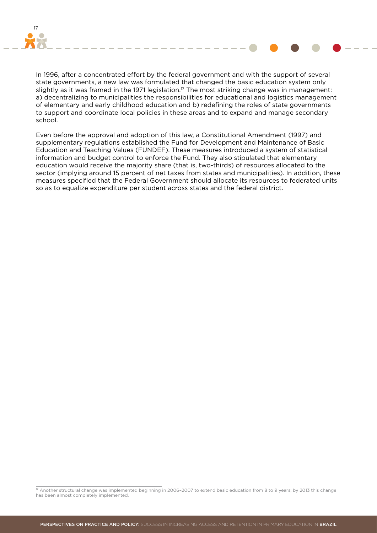

In 1996, after a concentrated effort by the federal government and with the support of several state governments, a new law was formulated that changed the basic education system only slightly as it was framed in the 1971 legislation.<sup>17</sup> The most striking change was in management: a) decentralizing to municipalities the responsibilities for educational and logistics management of elementary and early childhood education and b) redefining the roles of state governments to support and coordinate local policies in these areas and to expand and manage secondary school.

Even before the approval and adoption of this law, a Constitutional Amendment (1997) and supplementary regulations established the Fund for Development and Maintenance of Basic Education and Teaching Values (FUNDEF). These measures introduced a system of statistical information and budget control to enforce the Fund. They also stipulated that elementary education would receive the majority share (that is, two-thirds) of resources allocated to the sector (implying around 15 percent of net taxes from states and municipalities). In addition, these measures specified that the Federal Government should allocate its resources to federated units so as to equalize expenditure per student across states and the federal district.

<sup>17</sup> Another structural change was implemented beginning in 2006–2007 to extend basic education from 8 to 9 years; by 2013 this change has been almost completely implemented.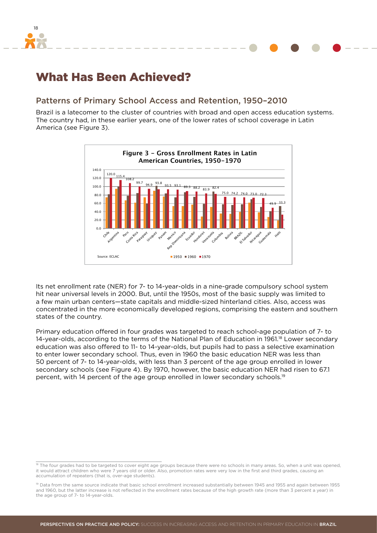<span id="page-17-0"></span>

### What Has Been Achieved?

#### Patterns of Primary School Access and Retention, 1950–2010

Brazil is a latecomer to the cluster of countries with broad and open access education systems. The country had, in these earlier years, one of the lower rates of school coverage in Latin America (see Figure 3).



Its net enrollment rate (NER) for 7- to 14-year-olds in a nine-grade compulsory school system hit near universal levels in 2000. But, until the 1950s, most of the basic supply was limited to a few main urban centers—state capitals and middle-sized hinterland cities. Also, access was concentrated in the more economically developed regions, comprising the eastern and southern states of the country.

Primary education offered in four grades was targeted to reach school-age population of 7- to 14-year-olds, according to the terms of the National Plan of Education in 1961.<sup>18</sup> Lower secondary education was also offered to 11- to 14-year-olds, but pupils had to pass a selective examination to enter lower secondary school. Thus, even in 1960 the basic education NER was less than 50 percent of 7- to 14-year-olds, with less than 3 percent of the age group enrolled in lower secondary schools (see Figure 4). By 1970, however, the basic education NER had risen to 67.1 percent, with 14 percent of the age group enrolled in lower secondary schools.<sup>19</sup>

<sup>18</sup> The four grades had to be targeted to cover eight age groups because there were no schools in many areas. So, when a unit was opened, it would attract children who were 7 years old or older. Also, promotion rates were very low in the first and third grades, causing an accumulation of repeaters (that is, over-age students).

<sup>19</sup> Data from the same source indicate that basic school enrollment increased substantially between 1945 and 1955 and again between 1955 and 1960, but the latter increase is not reflected in the enrollment rates because of the high growth rate (more than 3 percent a year) in the age group of 7- to 14-year-olds.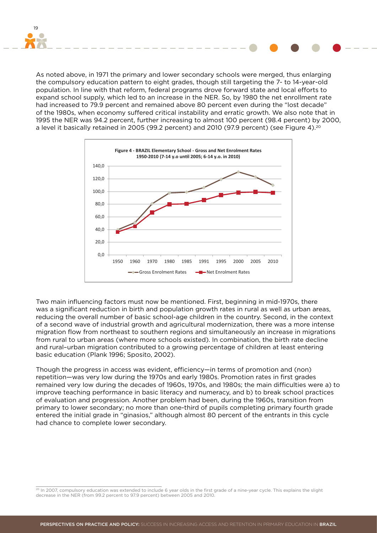

As noted above, in 1971 the primary and lower secondary schools were merged, thus enlarging the compulsory education pattern to eight grades, though still targeting the 7- to 14-year-old population. In line with that reform, federal programs drove forward state and local efforts to expand school supply, which led to an increase in the NER. So, by 1980 the net enrollment rate had increased to 79.9 percent and remained above 80 percent even during the "lost decade" of the 1980s, when economy suffered critical instability and erratic growth. We also note that in 1995 the NER was 94.2 percent, further increasing to almost 100 percent (98.4 percent) by 2000, a level it basically retained in 2005 (99.2 percent) and 2010 (97.9 percent) (see Figure 4).<sup>20</sup>



Two main influencing factors must now be mentioned. First, beginning in mid-1970s, there was a significant reduction in birth and population growth rates in rural as well as urban areas, reducing the overall number of basic school-age children in the country. Second, in the context of a second wave of industrial growth and agricultural modernization, there was a more intense migration flow from northeast to southern regions and simultaneously an increase in migrations from rural to urban areas (where more schools existed). In combination, the birth rate decline and rural–urban migration contributed to a growing percentage of children at least entering basic education (Plank 1996; Sposito, 2002).

Though the progress in access was evident, efficiency—in terms of promotion and (non) repetition—was very low during the 1970s and early 1980s. Promotion rates in first grades remained very low during the decades of 1960s, 1970s, and 1980s; the main difficulties were a) to improve teaching performance in basic literacy and numeracy, and b) to break school practices of evaluation and progression. Another problem had been, during the 1960s, transition from primary to lower secondary; no more than one-third of pupils completing primary fourth grade entered the initial grade in "ginasios," although almost 80 percent of the entrants in this cycle had chance to complete lower secondary.

<sup>&</sup>lt;sup>20</sup> In 2007, compulsory education was extended to include 6 year olds in the first grade of a nine-year cycle. This explains the slight decrease in the NER (from 99.2 percent to 97.9 percent) between 2005 and 2010.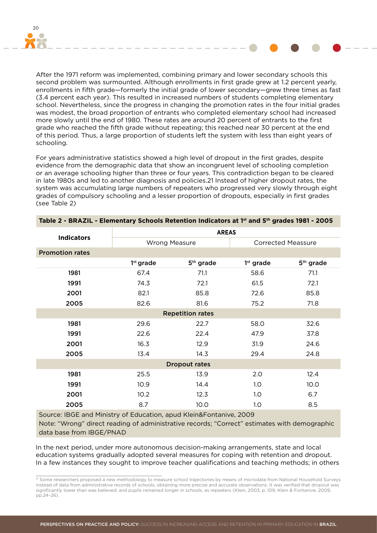

After the 1971 reform was implemented, combining primary and lower secondary schools this second problem was surmounted. Although enrollments in first grade grew at 1.2 percent yearly, enrollments in fifth grade—formerly the initial grade of lower secondary—grew three times as fast (3.4 percent each year). This resulted in increased numbers of students completing elementary school. Nevertheless, since the progress in changing the promotion rates in the four initial grades was modest, the broad proportion of entrants who completed elementary school had increased more slowly until the end of 1980. These rates are around 20 percent of entrants to the first grade who reached the fifth grade without repeating; this reached near 30 percent at the end of this period. Thus, a large proportion of students left the system with less than eight years of schooling.

For years administrative statistics showed a high level of dropout in the first grades, despite evidence from the demographic data that show an incongruent level of schooling completion or an average schooling higher than three or four years. This contradiction began to be cleared in late 1980s and led to another diagnosis and policies.21 Instead of higher dropout rates, the system was accumulating large numbers of repeaters who progressed very slowly through eight grades of compulsory schooling and a lesser proportion of dropouts, especially in first grades (see Table 2)

|                        | <b>AREAS</b>            |                       |                           |                       |  |  |  |  |  |
|------------------------|-------------------------|-----------------------|---------------------------|-----------------------|--|--|--|--|--|
| <b>Indicators</b>      | <b>Wrong Measure</b>    |                       | <b>Corrected Meassure</b> |                       |  |  |  |  |  |
| <b>Promotion rates</b> |                         |                       |                           |                       |  |  |  |  |  |
|                        | $1st$ grade             | 5 <sup>th</sup> grade | $1st$ grade               | 5 <sup>th</sup> grade |  |  |  |  |  |
| 1981                   | 67.4                    | 71.1                  | 58.6                      | 71.1                  |  |  |  |  |  |
| 1991                   | 74.3                    | 72.1                  | 61.5                      | 72.1                  |  |  |  |  |  |
| 2001                   | 82.1                    | 85.8                  | 72.6                      | 85.8                  |  |  |  |  |  |
| 2005                   | 82.6                    | 81.6                  | 75.2<br>71.8              |                       |  |  |  |  |  |
|                        | <b>Repetition rates</b> |                       |                           |                       |  |  |  |  |  |
| 1981                   | 29.6                    | 22.7                  | 58.0                      | 32.6                  |  |  |  |  |  |
| 1991                   | 22.6                    | 22.4                  | 47.9                      | 37.8                  |  |  |  |  |  |
| 2001                   | 16.3                    | 12.9                  | 31.9                      | 24.6                  |  |  |  |  |  |
| 2005                   | 13.4                    | 14.3                  | 29.4                      | 24.8                  |  |  |  |  |  |
|                        |                         | <b>Dropout rates</b>  |                           |                       |  |  |  |  |  |
| 1981                   | 25.5                    | 13.9                  | 2.0                       | 12.4                  |  |  |  |  |  |
| 1991                   | 10.9                    | 14.4                  | 1.0                       | 10.0                  |  |  |  |  |  |
| 2001                   | 10.2                    | 12.3                  | 1.0                       | 6.7                   |  |  |  |  |  |
| 2005                   | 8.7                     | 10.0                  | 1.0                       | 8.5                   |  |  |  |  |  |

#### **Table 2 - BRAZIL - Elementary Schools Retention Indicators at 1st and 5th grades 1981 - 2005**

Source: IBGE and Ministry of Education, apud Klein&Fontanive, 2009

Note: "Wrong" direct reading of administrative records; "Correct" estimates with demographic data base from IBGE/PNAD

In the next period, under more autonomous decision-making arrangements, state and local education systems gradually adopted several measures for coping with retention and dropout. In a few instances they sought to improve teacher qualifications and teaching methods; in others

<sup>&</sup>lt;sup>21</sup> Some researchers proposed a new methodology to measure school trajectories by means of microdata from National Household Surveys instead of data from administrative records of schools, obtaining more precise and accurate observations. It was verified that dropout was significantly lower than was believed; and pupils remained longer in schools, as repeaters (Klein, 2003, p. 109; Klein & Fontanive, 2009, pp.24–26).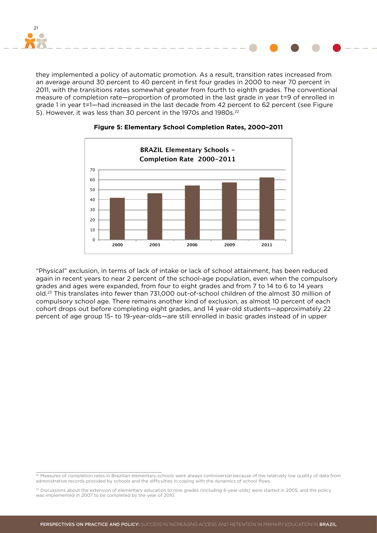

they implemented a policy of automatic promotion. As a result, transition rates increased from an average around 30 percent to 40 percent in first four grades in 2000 to near 70 percent in 2011, with the transitions rates somewhat greater from fourth to eighth grades. The conventional measure of completion rate—proportion of promoted in the last grade in year t=9 of enrolled in grade 1 in year t=1—had increased in the last decade from 42 percent to 62 percent (see Figure 5). However, it was less than 30 percent in the 1970s and 1980s.<sup>22</sup>



#### **Figure 5: Elementary School Completion Rates, 2000–2011**

"Physical" exclusion, in terms of lack of intake or lack of school attainment, has been reduced again in recent years to near 2 percent of the school-age population, even when the compulsory grades and ages were expanded, from four to eight grades and from 7 to 14 to 6 to 14 years old.23 This translates into fewer than 731,000 out-of-school children of the almost 30 million of compulsory school age. There remains another kind of exclusion, as almost 10 percent of each cohort drops out before completing eight grades, and 14 year-old students—approximately 22 percent of age group 15- to 19-year-olds—are still enrolled in basic grades instead of in upper

<sup>&</sup>lt;sup>22</sup> Measures of completion rates in Brazilian elementary schools were always controversial because of the relatively low quality of data from administrative records provided by schools and the difficulties in coping with the dynamics of school flows.

<sup>&</sup>lt;sup>23</sup> Discussions about the extension of elementary education to nine grades (including 6-year-olds) were started in 2005, and the policy was implemented in 2007 to be completed by the year of 2010.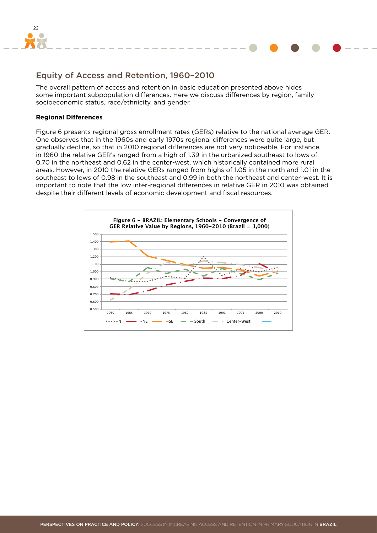<span id="page-21-0"></span>

### Equity of Access and Retention, 1960–2010

The overall pattern of access and retention in basic education presented above hides some important subpopulation differences. Here we discuss differences by region, family socioeconomic status, race/ethnicity, and gender.

#### **Regional Differences**

Figure 6 presents regional gross enrollment rates (GERs) relative to the national average GER. One observes that in the 1960s and early 1970s regional differences were quite large, but gradually decline, so that in 2010 regional differences are not very noticeable. For instance, in 1960 the relative GER's ranged from a high of 1.39 in the urbanized southeast to lows of 0.70 in the northeast and 0.62 in the center-west, which historically contained more rural areas. However, in 2010 the relative GERs ranged from highs of 1.05 in the north and 1.01 in the southeast to lows of 0.98 in the southeast and 0.99 in both the northeast and center-west. It is important to note that the low inter-regional differences in relative GER in 2010 was obtained despite their different levels of economic development and fiscal resources.

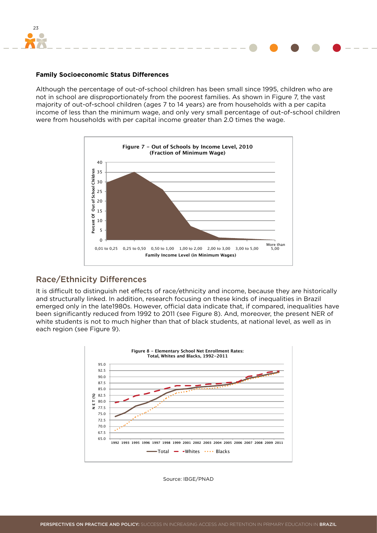<span id="page-22-0"></span>

#### **Family Socioeconomic Status Differences**

Although the percentage of out-of-school children has been small since 1995, children who are not in school are disproportionately from the poorest families. As shown in Figure 7, the vast majority of out-of-school children (ages 7 to 14 years) are from households with a per capita income of less than the minimum wage, and only very small percentage of out-of-school children were from households with per capital income greater than 2.0 times the wage.



#### Race/Ethnicity Differences

It is difficult to distinguish net effects of race/ethnicity and income, because they are historically and structurally linked. In addition, research focusing on these kinds of inequalities in Brazil emerged only in the late1980s. However, official data indicate that, if compared, inequalities have been significantly reduced from 1992 to 2011 (see Figure 8). And, moreover, the present NER of white students is not to much higher than that of black students, at national level, as well as in each region (see Figure 9).



Source: IBGE/PNAD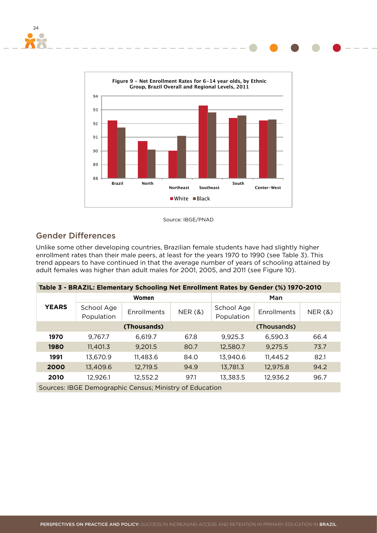

Source: IBGE/PNAD

### Gender Differences

<span id="page-23-0"></span>24

Unlike some other developing countries, Brazilian female students have had slightly higher enrollment rates than their male peers, at least for the years 1970 to 1990 (see Table 3). This trend appears to have continued in that the average number of years of schooling attained by adult females was higher than adult males for 2001, 2005, and 2011 (see Figure 10).

| Table 3 - BRAZIL: Elementary Schooling Net Enrollment Rates by Gender (%) 1970-2010 |                          |                    |        |                          |             |        |  |  |  |
|-------------------------------------------------------------------------------------|--------------------------|--------------------|--------|--------------------------|-------------|--------|--|--|--|
|                                                                                     |                          | <b>Women</b>       |        | Man                      |             |        |  |  |  |
| <b>YEARS</b>                                                                        | School Age<br>Population | <b>Enrollments</b> | NER(8) | School Age<br>Population | Enrollments | NER(8) |  |  |  |
|                                                                                     |                          | (Thousands)        |        |                          | (Thousands) |        |  |  |  |
| 1970                                                                                | 9.767.7                  | 6,619.7            | 67.8   | 9,925.3                  | 6.590.3     | 66.4   |  |  |  |
| 1980                                                                                | 11,401.3                 | 9,201.5            | 80.7   | 12,580.7                 | 9,275.5     | 73.7   |  |  |  |
| 1991                                                                                | 13,670.9                 | 11,483.6           | 84.0   | 13,940.6                 | 11,445.2    | 82.1   |  |  |  |
| 2000                                                                                | 13,409.6                 | 12,719.5           | 94.9   | 13,781.3                 | 12,975.8    | 94.2   |  |  |  |
| 2010                                                                                | 12,926.1                 | 12,552.2           | 97.1   | 13,383.5                 | 12,936.2    | 96.7   |  |  |  |
| Sources: IBGE Demographic Census; Ministry of Education                             |                          |                    |        |                          |             |        |  |  |  |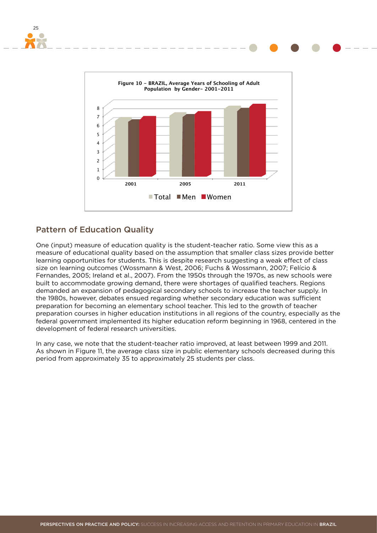

### Pattern of Education Quality

25

One (input) measure of education quality is the student-teacher ratio. Some view this as a measure of educational quality based on the assumption that smaller class sizes provide better learning opportunities for students. This is despite research suggesting a weak effect of class size on learning outcomes (Wossmann & West, 2006; Fuchs & Wossmann, 2007; Felício & Fernandes, 2005; Ireland et al., 2007). From the 1950s through the 1970s, as new schools were built to accommodate growing demand, there were shortages of qualified teachers. Regions demanded an expansion of pedagogical secondary schools to increase the teacher supply. In the 1980s, however, debates ensued regarding whether secondary education was sufficient preparation for becoming an elementary school teacher. This led to the growth of teacher preparation courses in higher education institutions in all regions of the country, especially as the federal government implemented its higher education reform beginning in 1968, centered in the development of federal research universities.

In any case, we note that the student-teacher ratio improved, at least between 1999 and 2011. As shown in Figure 11, the average class size in public elementary schools decreased during this period from approximately 35 to approximately 25 students per class.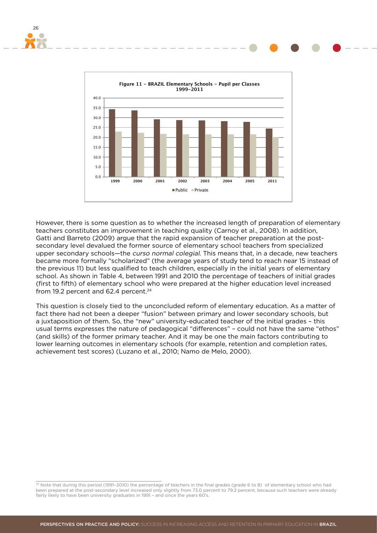



However, there is some question as to whether the increased length of preparation of elementary teachers constitutes an improvement in teaching quality (Carnoy et al., 2008). In addition, Gatti and Barreto (2009) argue that the rapid expansion of teacher preparation at the postsecondary level devalued the former source of elementary school teachers from specialized upper secondary schools—the *curso normal colegial*. This means that, in a decade, new teachers became more formally "scholarized" (the average years of study tend to reach near 15 instead of the previous 11) but less qualified to teach children, especially in the initial years of elementary school. As shown in Table 4, between 1991 and 2010 the percentage of teachers of initial grades (first to fifth) of elementary school who were prepared at the higher education level increased from 19.2 percent and  $62.4$  percent.<sup>24</sup>

This question is closely tied to the unconcluded reform of elementary education. As a matter of fact there had not been a deeper "fusion" between primary and lower secondary schools, but a juxtaposition of them. So, the "new" university-educated teacher of the initial grades – this usual terms expresses the nature of pedagogical "differences" – could not have the same "ethos" (and skills) of the former primary teacher. And it may be one the main factors contributing to lower learning outcomes in elementary schools (for example, retention and completion rates, achievement test scores) (Luzano et al., 2010; Namo de Melo, 2000).

<sup>24</sup> Note that during this period (1991-2010) the percentage of teachers in the final grades (grade 6 to 8) of elementary school who had been prepared at the post-secondary level increased only slightly from 73.0 percent to 79.2 percent, because such teachers were already fairly likely to have been university graduates in 1991 – and since the years 60's.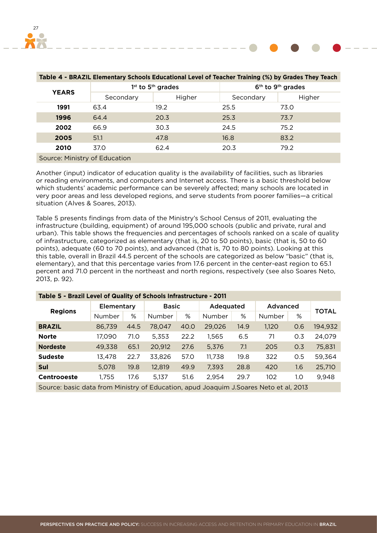| Table 4 - BRAZIL Elementary Schools Educational Level of Teacher Training (%) by Grades They Teach |                               |                                           |                                           |        |  |  |  |  |
|----------------------------------------------------------------------------------------------------|-------------------------------|-------------------------------------------|-------------------------------------------|--------|--|--|--|--|
| <b>YEARS</b>                                                                                       |                               | 1 <sup>st</sup> to 5 <sup>th</sup> grades | 6 <sup>th</sup> to 9 <sup>th</sup> grades |        |  |  |  |  |
|                                                                                                    | Secondary                     | Higher                                    | Secondary                                 | Higher |  |  |  |  |
| 1991                                                                                               | 63.4                          | 19.2                                      | 25.5                                      | 73.0   |  |  |  |  |
| 1996                                                                                               | 64.4                          | 20.3                                      | 25.3                                      | 73.7   |  |  |  |  |
| 2002                                                                                               | 66.9                          | 30.3                                      | 24.5                                      | 75.2   |  |  |  |  |
| 2005                                                                                               | 51.1                          | 47.8                                      | 16.8                                      | 83.2   |  |  |  |  |
| 2010                                                                                               | 37.0                          | 62.4                                      | 20.3                                      | 79.2   |  |  |  |  |
|                                                                                                    | Source: Ministry of Education |                                           |                                           |        |  |  |  |  |

Another (input) indicator of education quality is the availability of facilities, such as libraries or reading environments, and computers and Internet access. There is a basic threshold below which students' academic performance can be severely affected; many schools are located in very poor areas and less developed regions, and serve students from poorer families—a critical situation (Alves & Soares, 2013).

Table 5 presents findings from data of the Ministry's School Census of 2011, evaluating the infrastructure (building, equipment) of around 195,000 schools (public and private, rural and urban). This table shows the frequencies and percentages of schools ranked on a scale of quality of infrastructure, categorized as elementary (that is, 20 to 50 points), basic (that is, 50 to 60 points), adequate (60 to 70 points), and advanced (that is, 70 to 80 points). Looking at this this table, overall in Brazil 44.5 percent of the schools are categorized as below "basic" (that is, elementary), and that this percentage varies from 17.6 percent in the center-east region to 65.1 percent and 71.0 percent in the northeast and north regions, respectively (see also Soares Neto, 2013, p. 92).

| Table 5 - Brazil Level of Quality of Schools Infrastructure - 2011                     |            |      |              |      |           |      |          |     |         |
|----------------------------------------------------------------------------------------|------------|------|--------------|------|-----------|------|----------|-----|---------|
| <b>Regions</b>                                                                         | Elementary |      | <b>Basic</b> |      | Adequated |      | Advanced |     |         |
|                                                                                        | Number     | %    | Number       | %    | Number    | %    | Number   | %   | TOTAL   |
| <b>BRAZIL</b>                                                                          | 86,739     | 44.5 | 78,047       | 40.0 | 29,026    | 14.9 | 1,120    | 0.6 | 194,932 |
| <b>Norte</b>                                                                           | 17,090     | 71.0 | 5,353        | 22.2 | 1,565     | 6.5  | 71       | 0.3 | 24,079  |
| <b>Nordeste</b>                                                                        | 49,338     | 65.1 | 20,912       | 27.6 | 5,376     | 7.1  | 205      | 0.3 | 75,831  |
| <b>Sudeste</b>                                                                         | 13,478     | 22.7 | 33,826       | 57.0 | 11,738    | 19.8 | 322      | 0.5 | 59,364  |
| Sul                                                                                    | 5,078      | 19.8 | 12,819       | 49.9 | 7,393     | 28.8 | 420      | 1.6 | 25,710  |
| <b>Centrooeste</b>                                                                     | 1,755      | 17.6 | 5,137        | 51.6 | 2,954     | 29.7 | 102      | 1.0 | 9,948   |
| Source: basic data from Ministry of Education, apud Joaquim J. Soares Neto et al, 2013 |            |      |              |      |           |      |          |     |         |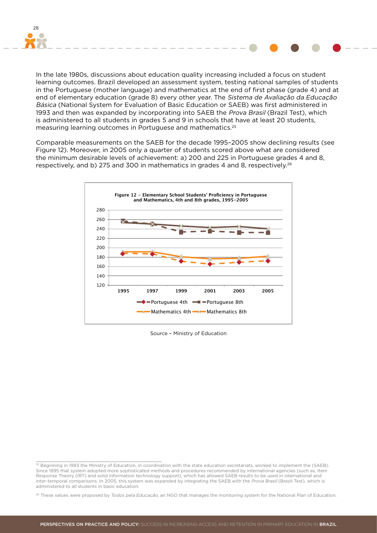

In the late 1980s, discussions about education quality increasing included a focus on student learning outcomes. Brazil developed an assessment system, testing national samples of students in the Portuguese (mother language) and mathematics at the end of first phase (grade 4) and at end of elementary education (grade 8) every other year. The Sistema de Avaliação da Educação Básica (National System for Evaluation of Basic Education or SAEB) was first administered in 1993 and then was expanded by incorporating into SAEB the Prova Brasil (Brazil Test), which is administered to all students in grades 5 and 9 in schools that have at least 20 students, measuring learning outcomes in Portuguese and mathematics.25

Comparable measurements on the SAEB for the decade 1995–2005 show declining results (see Figure 12). Moreover, in 2005 only a quarter of students scored above what are considered the minimum desirable levels of achievement: a) 200 and 225 in Portuguese grades 4 and 8, respectively, and b) 275 and 300 in mathematics in grades 4 and 8, respectively.<sup>26</sup>



Source – Ministry of Education

<sup>&</sup>lt;sup>25</sup> Beginning in 1993 the Ministry of Education, in coordination with the state education secretariats, worked to implement the (SAEB). Since 1995 that system adopted more sophisticated methods and procedures recommended by international agencies (such as, Item Response Theory (IRT) and solid information technology support), which has allowed SAEB results to be used in international and inter-temporal comparisons. In 2005, this system was expanded by integrating the SAEB with the Prova Brasil (Brazil Test), which is administered to all students in basic education.

<sup>&</sup>lt;sup>26</sup> These values were proposed by Todos pela Educação, an NGO that manages the monitoring system for the National Plan of Education.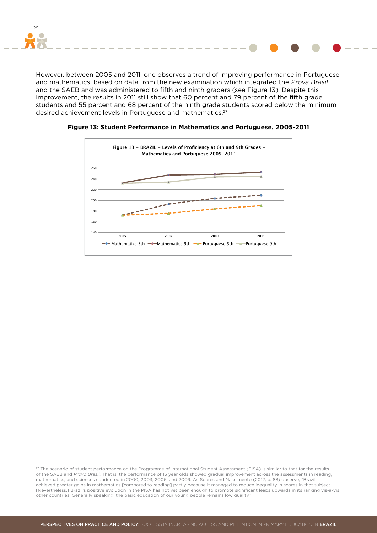

However, between 2005 and 2011, one observes a trend of improving performance in Portuguese and mathematics, based on data from the new examination which integrated the Prova Brasil and the SAEB and was administered to fifth and ninth graders (see Figure 13). Despite this improvement, the results in 2011 still show that 60 percent and 79 percent of the fifth grade students and 55 percent and 68 percent of the ninth grade students scored below the minimum desired achievement levels in Portuguese and mathematics.27



**Figure 13: Student Performance in Mathematics and Portuguese, 2005-2011**

 $\frac{27}{27}$  The scenario of student performance on the Programme of International Student Assessment (PISA) is similar to that for the results of the SAEB and Provo Brasil. That is, the performance of 15 year olds showed gradual improvement across the assessments in reading, mathematics, and sciences conducted in 2000, 2003, 2006, and 2009. As Soares and Nascimento (2012, p. 83) observe, "Brazil achieved greater gains in mathematics [compared to reading] partly because it managed to reduce inequality in scores in that subject. … [Nevertheless,] Brazil's positive evolution in the PISA has not yet been enough to promote significant leaps upwards in its ranking vis-à-vis other countries. Generally speaking, the basic education of our young people remains low quality."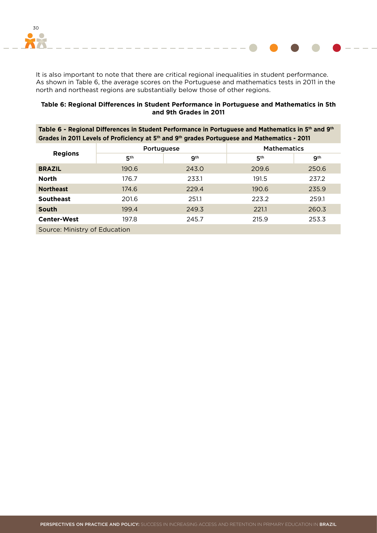

It is also important to note that there are critical regional inequalities in student performance. As shown in Table 6, the average scores on the Portuguese and mathematics tests in 2011 in the north and northeast regions are substantially below those of other regions.

#### **Table 6: Regional Differences in Student Performance in Portuguese and Mathematics in 5th and 9th Grades in 2011**

| Table 6 - Regional Differences in Student Performance in Portuguese and Mathematics in 5 <sup>th</sup> and 9 <sup>th</sup> |
|----------------------------------------------------------------------------------------------------------------------------|
| Grades in 2011 Levels of Proficiency at 5 <sup>th</sup> and 9 <sup>th</sup> grades Portuguese and Mathematics - 2011       |

| <b>Regions</b>                | Portuguese      |       | <b>Mathematics</b> |                 |  |  |  |
|-------------------------------|-----------------|-------|--------------------|-----------------|--|--|--|
|                               | 5 <sup>th</sup> | gth   | 5 <sup>th</sup>    | 9 <sup>th</sup> |  |  |  |
| <b>BRAZIL</b>                 | 190.6           | 243.0 | 209.6              | 250.6           |  |  |  |
| <b>North</b>                  | 176.7           | 233.1 | 191.5              | 237.2           |  |  |  |
| <b>Northeast</b>              | 174.6           | 229.4 | 190.6              | 235.9           |  |  |  |
| <b>Southeast</b>              | 201.6           | 251.1 | 223.2              | 259.1           |  |  |  |
| <b>South</b>                  | 199.4           | 249.3 | 221.1              | 260.3           |  |  |  |
| <b>Center-West</b>            | 197.8           | 245.7 | 215.9              | 253.3           |  |  |  |
| Source: Ministry of Education |                 |       |                    |                 |  |  |  |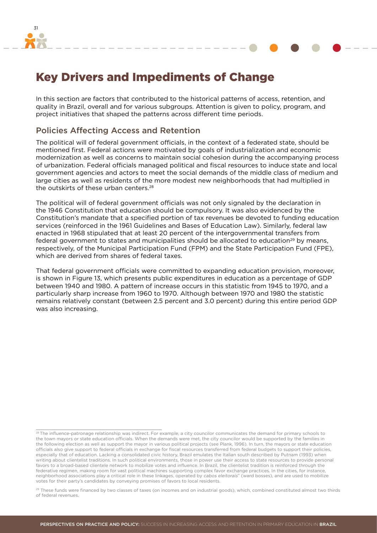<span id="page-30-0"></span>

Key Drivers and Impediments of Change

In this section are factors that contributed to the historical patterns of access, retention, and quality in Brazil, overall and for various subgroups. Attention is given to policy, program, and project initiatives that shaped the patterns across different time periods.

#### Policies Affecting Access and Retention

The political will of federal government officials, in the context of a federated state, should be mentioned first. Federal actions were motivated by goals of industrialization and economic modernization as well as concerns to maintain social cohesion during the accompanying process of urbanization. Federal officials managed political and fiscal resources to induce state and local government agencies and actors to meet the social demands of the middle class of medium and large cities as well as residents of the more modest new neighborhoods that had multiplied in the outskirts of these urban centers.<sup>28</sup>

The political will of federal government officials was not only signaled by the declaration in the 1946 Constitution that education should be compulsory. It was also evidenced by the Constitution's mandate that a specified portion of tax revenues be devoted to funding education services (reinforced in the 1961 Guidelines and Bases of Education Law). Similarly, federal law enacted in 1968 stipulated that at least 20 percent of the intergovernmental transfers from federal government to states and municipalities should be allocated to education<sup>29</sup> by means, respectively, of the Municipal Participation Fund (FPM) and the State Participation Fund (FPE), which are derived from shares of federal taxes.

That federal government officials were committed to expanding education provision, moreover, is shown in Figure 13, which presents public expenditures in education as a percentage of GDP between 1940 and 1980. A pattern of increase occurs in this statistic from 1945 to 1970, and a particularly sharp increase from 1960 to 1970. Although between 1970 and 1980 the statistic remains relatively constant (between 2.5 percent and 3.0 percent) during this entire period GDP was also increasing.

<sup>&</sup>lt;sup>28</sup> The influence-patronage relationship was indirect. For example, a city councilor communicates the demand for primary schools to the town mayors or state education officials. When the demands were met, the city councilor would be supported by the families in the following election as well as support the mayor in various political projects (see Plank, 1996). In turn, the mayors or state education officials also give support to federal officials in exchange for fiscal resources transferred from federal budgets to support their policies, especially that of education. Lacking a consolidated civic history, Brazil emulates the Italian south described by Putnam (1993) when writing about clientelist traditions. In such political environments, those in power use their access to state resources to provide personal favors to a broad-based clientele network to mobilize votes and influence. In Brazil, the clientelist tradition is reinforced through the federative regimen, making room for vast political machines supporting complex favor exchange practices. In the cities, for instance, neighborhood associations play a critical role in these linkages, operated by cabos eleitorais" (ward bosses), and are used to mobilize votes for their party's candidates by conveying promises of favors to local residents.

<sup>&</sup>lt;sup>29</sup> These funds were financed by two classes of taxes (on incomes and on industrial goods), which, combined constituted almost two thirds of federal revenues.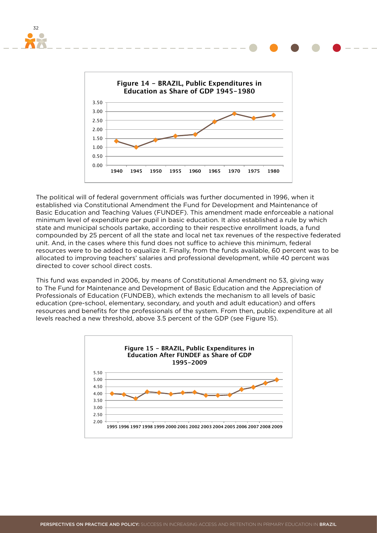

32

The political will of federal government officials was further documented in 1996, when it established via Constitutional Amendment the Fund for Development and Maintenance of Basic Education and Teaching Values (FUNDEF). This amendment made enforceable a national minimum level of expenditure per pupil in basic education. It also established a rule by which state and municipal schools partake, according to their respective enrollment loads, a fund compounded by 25 percent of all the state and local net tax revenues of the respective federated unit. And, in the cases where this fund does not suffice to achieve this minimum, federal resources were to be added to equalize it. Finally, from the funds available, 60 percent was to be allocated to improving teachers' salaries and professional development, while 40 percent was directed to cover school direct costs.

This fund was expanded in 2006, by means of Constitutional Amendment no 53, giving way to The Fund for Maintenance and Development of Basic Education and the Appreciation of Professionals of Education (FUNDEB), which extends the mechanism to all levels of basic education (pre-school, elementary, secondary, and youth and adult education) and offers resources and benefits for the professionals of the system. From then, public expenditure at all levels reached a new threshold, above 3.5 percent of the GDP (see Figure 15).



PERSPECTIVES ON PRACTICE AND POLICY: SUCCESS IN INCREASING ACCESS AND RETENTION IN PRIMARY EDUCATION IN BRAZIL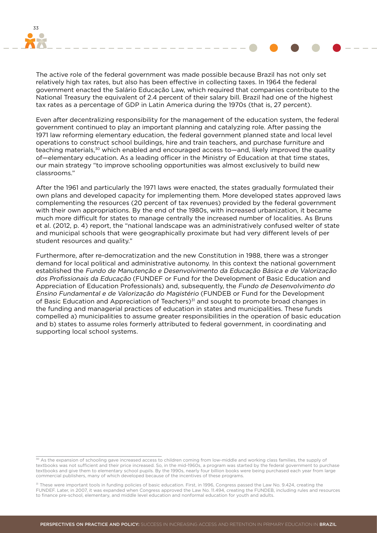

The active role of the federal government was made possible because Brazil has not only set relatively high tax rates, but also has been effective in collecting taxes. In 1964 the federal government enacted the Salário Educação Law, which required that companies contribute to the National Treasury the equivalent of 2.4 percent of their salary bill. Brazil had one of the highest tax rates as a percentage of GDP in Latin America during the 1970s (that is, 27 percent).

Even after decentralizing responsibility for the management of the education system, the federal government continued to play an important planning and catalyzing role. After passing the 1971 law reforming elementary education, the federal government planned state and local level operations to construct school buildings, hire and train teachers, and purchase furniture and teaching materials,<sup>30</sup> which enabled and encouraged access to—and, likely improved the quality of—elementary education. As a leading officer in the Ministry of Education at that time states, our main strategy "to improve schooling opportunities was almost exclusively to build new classrooms."

After the 1961 and particularly the 1971 laws were enacted, the states gradually formulated their own plans and developed capacity for implementing them. More developed states approved laws complementing the resources (20 percent of tax revenues) provided by the federal government with their own appropriations. By the end of the 1980s, with increased urbanization, it became much more difficult for states to manage centrally the increased number of localities. As Bruns et al. (2012, p. 4) report, the "national landscape was an administratively confused welter of state and municipal schools that were geographically proximate but had very different levels of per student resources and quality."

Furthermore, after re-democratization and the new Constitution in 1988, there was a stronger demand for local political and administrative autonomy. In this context the national government established the Fundo de Manutenção e Desenvolvimento da Educação Básica e de Valorização dos Profissionais da Educação (FUNDEF or Fund for the Development of Basic Education and Appreciation of Education Professionals) and, subsequently, the Fundo de Desenvolvimento do Ensino Fundamental e de Valorização do Magistério (FUNDEB or Fund for the Development of Basic Education and Appreciation of Teachers)<sup>31</sup> and sought to promote broad changes in the funding and managerial practices of education in states and municipalities. These funds compelled a) municipalities to assume greater responsibilities in the operation of basic education and b) states to assume roles formerly attributed to federal government, in coordinating and supporting local school systems.

<sup>30</sup> As the expansion of schooling gave increased access to children coming from low-middle and working class families, the supply of textbooks was not sufficient and their price increased. So, in the mid-1960s, a program was started by the federal government to purchase textbooks and give them to elementary school pupils. By the 1990s, nearly four billion books were being purchased each year from large commercial publishers, many of which developed because of the incentives of these programs.

<sup>31</sup> These were important tools in funding policies of basic education. First, in 1996, Congress passed the Law No. 9.424, creating the FUNDEF. Later, in 2007, it was expanded when Congress approved the Law No. 11.494, creating the FUNDEB, including rules and resources to finance pre-school, elementary, and middle level education and nonformal education for youth and adults.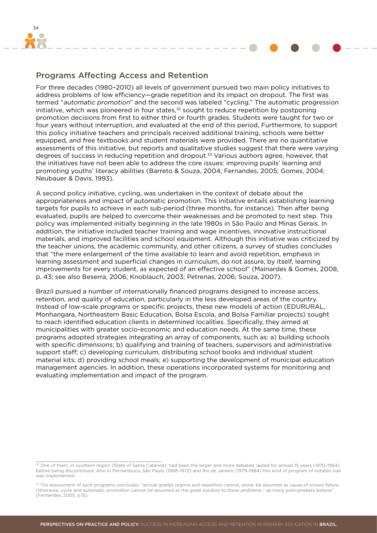<span id="page-33-0"></span>

### Programs Affecting Access and Retention

For three decades (1980–2010) all levels of government pursued two main policy initiatives to address problems of low efficiency—grade repetition and its impact on dropout. The first was termed "automatic promotion" and the second was labeled "cycling." The automatic progression initiative, which was pioneered in four states,<sup>32</sup> sought to reduce repetition by postponing promotion decisions from first to either third or fourth grades. Students were taught for two or four years without interruption, and evaluated at the end of this period, Furthermore, to support this policy initiative teachers and principals received additional training, schools were better equipped, and free textbooks and student materials were provided. There are no quantitative assessments of this initiative, but reports and qualitative studies suggest that there were varying degrees of success in reducing repetition and dropout.33 Various authors agree, however, that the initiatives have not been able to address the core issues: improving pupils' learning and promoting youths' literacy abilities (Barreto & Souza, 2004; Fernandes, 2005; Gomes, 2004; Neubauer & Davis, 1993).

A second policy initiative, cycling, was undertaken in the context of debate about the appropriateness and impact of automatic promotion. This initiative entails establishing learning targets for pupils to achieve in each sub-period (three months, for instance). Then after being evaluated, pupils are helped to overcome their weaknesses and be promoted to next step. This policy was implemented initially beginning in the late 1980s in São Paulo and Minas Gerais. In addition, the initiative included teacher training and wage incentives, innovative instructional materials, and improved facilities and school equipment. Although this initiative was criticized by the teacher unions, the academic community, and other citizens, a survey of studies concludes that "the mere enlargement of the time available to learn and avoid repetition, emphasis in learning assessment and superficial changes in curriculum, do not assure, by itself, learning improvements for every student, as expected of an effective school" (Mainardes & Gomes, 2008, p. 43; see also Beserra, 2006; Knoblauch, 2003; Petrenas, 2006; Souza, 2007).

Brazil pursued a number of internationally financed programs designed to increase access, retention, and quality of education, particularly in the less developed areas of the country. Instead of low-scale programs or specific projects, these new models of action (EDURURAL, Monhangara, Northeastern Basic Education, Bolsa Escola, and Bolsa Familiar projects) sought to reach identified education clients in determined localities. Specifically, they aimed at municipalities with greater socio-economic and education needs. At the same time, these programs adopted strategies integrating an array of components, such as: a) building schools with specific dimensions; b) qualifying and training of teachers, supervisors and administrative support staff; c) developing curriculum, distributing school books and individual student material kits; d) providing school meals; e) supporting the development of municipal education management agencies. In addition, these operations incorporated systems for monitoring and evaluating implementation and impact of the program.

<sup>32</sup> One of them, in southern region (State of Santa Catarina), had been the larger and more debated, lasted for almost 15 years (1970–1984) before being discontinued. Also in Pernambuco, São Paulo (1968–1972) and Rio de Janeiro (1979–1984) this kind of program of notable size was implemented.

<sup>33</sup> The assessment of such programs concludes: "annual grades regime and repetition cannot, alone, be assumed as cause of school failure. Otherwise, cycle and automatic promotion cannot be assumed as the great solution to these problems - as many policymakers believe (Fernandes, 2005, p.15).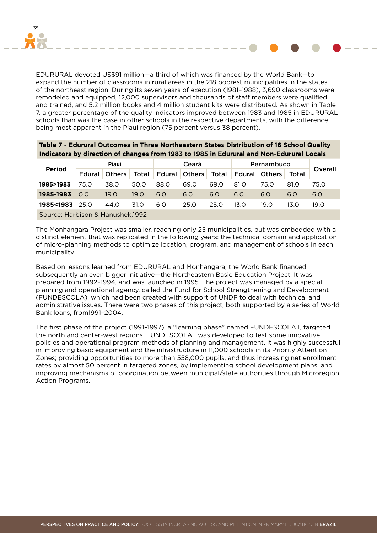

EDURURAL devoted US\$91 million—a third of which was financed by the World Bank—to expand the number of classrooms in rural areas in the 218 poorest municipalities in the states of the northeast region. During its seven years of execution (1981–1988), 3,690 classrooms were remodeled and equipped, 12,000 supervisors and thousands of staff members were qualified and trained, and 5.2 million books and 4 million student kits were distributed. As shown in Table 7, a greater percentage of the quality indicators improved between 1983 and 1985 in EDURURAL schools than was the case in other schools in the respective departments, with the difference being most apparent in the Piaui region (75 percent versus 38 percent).

**Table 7 - Edurural Outcomes in Three Northeastern States Distribution of 16 School Quality** 

|                                                                                          | Table 7 - Edurural Outcomes III Three Northeastern States Distribution of 10 School Quanty |               |       |       |               |       |            |               |       |         |
|------------------------------------------------------------------------------------------|--------------------------------------------------------------------------------------------|---------------|-------|-------|---------------|-------|------------|---------------|-------|---------|
| Indicators by direction of changes from 1983 to 1985 in Edurural and Non-Edurural Locals |                                                                                            |               |       |       |               |       |            |               |       |         |
| <b>Period</b>                                                                            | <b>Piaui</b>                                                                               |               |       | Ceará |               |       | Pernambuco |               |       | Overall |
|                                                                                          | Edural                                                                                     | <b>Others</b> | Total |       | Edural Others | Total |            | Edural Others | Total |         |
| 1985>1983                                                                                | 75.0                                                                                       | 38.0          | 50.0  | 88.0  | 69.0          | 69.0  | 81.O       | 75.O          | 81.0  | 75.0    |
| 1985-1983                                                                                | 0.0                                                                                        | 19.0          | 19.0  | 6.0   | 6.0           | 6.0   | 6.0        | 6.0           | 6.0   | 6.0     |
| 1985<1983                                                                                | 25.0                                                                                       | 44.O          | 31.O  | 6.0   | 25.0          | 25.0  | 13.0       | 19.0          | 13.0  | 19.0    |
|                                                                                          | Source: Harbison & Hanushek, 1992                                                          |               |       |       |               |       |            |               |       |         |

The Monhangara Project was smaller, reaching only 25 municipalities, but was embedded with a distinct element that was replicated in the following years: the technical domain and application of micro-planning methods to optimize location, program, and management of schools in each municipality.

Based on lessons learned from EDURURAL and Monhangara, the World Bank financed subsequently an even bigger initiative—the Northeastern Basic Education Project. It was prepared from 1992–1994, and was launched in 1995. The project was managed by a special planning and operational agency, called the Fund for School Strengthening and Development (FUNDESCOLA), which had been created with support of UNDP to deal with technical and administrative issues. There were two phases of this project, both supported by a series of World Bank loans, from1991–2004.

The first phase of the project (1991–1997), a "learning phase" named FUNDESCOLA I, targeted the north and center-west regions. FUNDESCOLA I was developed to test some innovative policies and operational program methods of planning and management. It was highly successful in improving basic equipment and the infrastructure in 11,000 schools in its Priority Attention Zones; providing opportunities to more than 558,000 pupils, and thus increasing net enrollment rates by almost 50 percent in targeted zones, by implementing school development plans, and improving mechanisms of coordination between municipal/state authorities through Microregion Action Programs.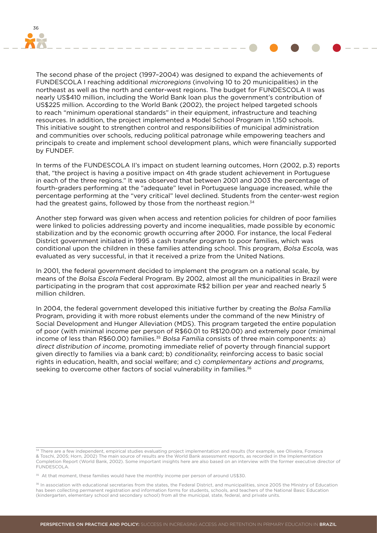

The second phase of the project (1997–2004) was designed to expand the achievements of FUNDESCOLA I reaching additional microregions (involving 10 to 20 municipalities) in the northeast as well as the north and center-west regions. The budget for FUNDESCOLA II was nearly US\$410 million, including the World Bank loan plus the government's contribution of US\$225 million. According to the World Bank (2002), the project helped targeted schools to reach "minimum operational standards" in their equipment, infrastructure and teaching resources. In addition, the project implemented a Model School Program in 1,150 schools. This initiative sought to strengthen control and responsibilities of municipal administration and communities over schools, reducing political patronage while empowering teachers and principals to create and implement school development plans, which were financially supported by FUNDEF.

In terms of the FUNDESCOLA II's impact on student learning outcomes, Horn (2002, p.3) reports that, "the project is having a positive impact on 4th grade student achievement in Portuguese in each of the three regions." It was observed that between 2001 and 2003 the percentage of fourth-graders performing at the "adequate" level in Portuguese language increased, while the percentage performing at the "very critical" level declined. Students from the center-west region had the greatest gains, followed by those from the northeast region.<sup>34</sup>

Another step forward was given when access and retention policies for children of poor families were linked to policies addressing poverty and income inequalities, made possible by economic stabilization and by the economic growth occurring after 2000. For instance, the local Federal District government initiated in 1995 a cash transfer program to poor families, which was conditional upon the children in these families attending school. This program, Bolsa Escola, was evaluated as very successful, in that it received a prize from the United Nations.

In 2001, the federal government decided to implement the program on a national scale, by means of the Bolsa Escola Federal Program. By 2002, almost all the municipalities in Brazil were participating in the program that cost approximate R\$2 billion per year and reached nearly 5 million children.

In 2004, the federal government developed this initiative further by creating the Bolsa Família Program, providing it with more robust elements under the command of the new Ministry of Social Development and Hunger Alleviation (MDS). This program targeted the entire population of poor (with minimal income per person of R\$60.01 to R\$120.00) and extremely poor (minimal income of less than R\$60.00) families.<sup>35</sup> Bolsa Família consists of three main components: a) direct distribution of income, promoting immediate relief of poverty through financial support given directly to families via a bank card; b) conditionality, reinforcing access to basic social rights in education, health, and social welfare; and c) complementary actions and programs, seeking to overcome other factors of social vulnerability in families.<sup>36</sup>

<sup>&</sup>lt;sup>34</sup> There are a few independent, empirical studies evaluating project implementation and results (for example, see Oliveira, Fonseca & Toschi, 2005; Horn, 2002) The main source of results are the World Bank assessment reports, as recorded in the Implementation Completion Report (World Bank, 2002). Some important insights here are also based on an interview with the former executive director of FUNDESCOLA.

<sup>&</sup>lt;sup>35</sup> At that moment, these families would have the monthly income per person of around US\$30.

<sup>36</sup> In association with educational secretaries from the states, the Federal District, and municipalities, since 2005 the Ministry of Education has been collecting permanent registration and information forms for students, schools, and teachers of the National Basic Education (kindergarten, elementary school and secondary school) from all the municipal, state, federal, and private units.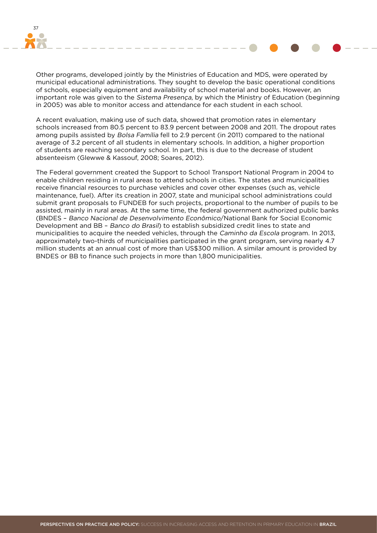

Other programs, developed jointly by the Ministries of Education and MDS, were operated by municipal educational administrations. They sought to develop the basic operational conditions of schools, especially equipment and availability of school material and books. However, an important role was given to the Sistema Presença, by which the Ministry of Education (beginning in 2005) was able to monitor access and attendance for each student in each school.

A recent evaluation, making use of such data, showed that promotion rates in elementary schools increased from 80.5 percent to 83.9 percent between 2008 and 2011. The dropout rates among pupils assisted by Bolsa Família fell to 2.9 percent (in 2011) compared to the national average of 3.2 percent of all students in elementary schools. In addition, a higher proportion of students are reaching secondary school. In part, this is due to the decrease of student absenteeism (Glewwe & Kassouf, 2008; Soares, 2012).

The Federal government created the Support to School Transport National Program in 2004 to enable children residing in rural areas to attend schools in cities. The states and municipalities receive financial resources to purchase vehicles and cover other expenses (such as, vehicle maintenance, fuel). After its creation in 2007, state and municipal school administrations could submit grant proposals to FUNDEB for such projects, proportional to the number of pupils to be assisted, mainly in rural areas. At the same time, the federal government authorized public banks (BNDES – Banco Nacional de Desenvolvimento Econômico/National Bank for Social Economic Development and BB – Banco do Brasil) to establish subsidized credit lines to state and municipalities to acquire the needed vehicles, through the Caminho da Escola program. In 2013, approximately two-thirds of municipalities participated in the grant program, serving nearly 4.7 million students at an annual cost of more than US\$300 million. A similar amount is provided by BNDES or BB to finance such projects in more than 1,800 municipalities.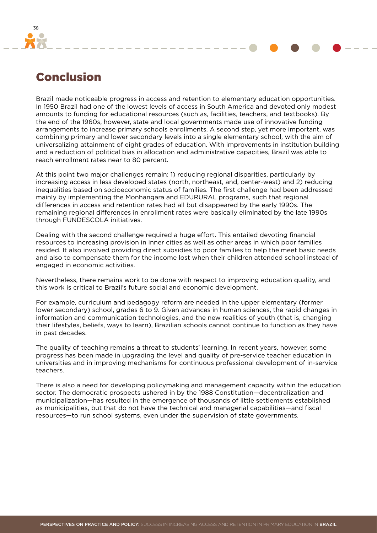<span id="page-37-0"></span>

# Conclusion

Brazil made noticeable progress in access and retention to elementary education opportunities. In 1950 Brazil had one of the lowest levels of access in South America and devoted only modest amounts to funding for educational resources (such as, facilities, teachers, and textbooks). By the end of the 1960s, however, state and local governments made use of innovative funding arrangements to increase primary schools enrollments. A second step, yet more important, was combining primary and lower secondary levels into a single elementary school, with the aim of universalizing attainment of eight grades of education. With improvements in institution building and a reduction of political bias in allocation and administrative capacities, Brazil was able to reach enrollment rates near to 80 percent.

At this point two major challenges remain: 1) reducing regional disparities, particularly by increasing access in less developed states (north, northeast, and, center-west) and 2) reducing inequalities based on socioeconomic status of families. The first challenge had been addressed mainly by implementing the Monhangara and EDURURAL programs, such that regional differences in access and retention rates had all but disappeared by the early 1990s. The remaining regional differences in enrollment rates were basically eliminated by the late 1990s through FUNDESCOLA initiatives.

Dealing with the second challenge required a huge effort. This entailed devoting financial resources to increasing provision in inner cities as well as other areas in which poor families resided. It also involved providing direct subsidies to poor families to help the meet basic needs and also to compensate them for the income lost when their children attended school instead of engaged in economic activities.

Nevertheless, there remains work to be done with respect to improving education quality, and this work is critical to Brazil's future social and economic development.

For example, curriculum and pedagogy reform are needed in the upper elementary (former lower secondary) school, grades 6 to 9. Given advances in human sciences, the rapid changes in information and communication technologies, and the new realities of youth (that is, changing their lifestyles, beliefs, ways to learn), Brazilian schools cannot continue to function as they have in past decades.

The quality of teaching remains a threat to students' learning. In recent years, however, some progress has been made in upgrading the level and quality of pre-service teacher education in universities and in improving mechanisms for continuous professional development of in-service teachers.

There is also a need for developing policymaking and management capacity within the education sector. The democratic prospects ushered in by the 1988 Constitution—decentralization and municipalization—has resulted in the emergence of thousands of little settlements established as municipalities, but that do not have the technical and managerial capabilities—and fiscal resources—to run school systems, even under the supervision of state governments.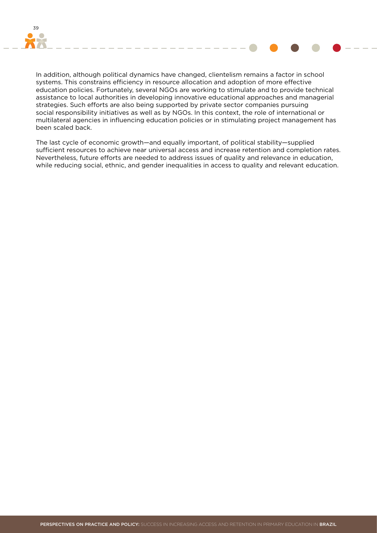

In addition, although political dynamics have changed, clientelism remains a factor in school systems. This constrains efficiency in resource allocation and adoption of more effective education policies. Fortunately, several NGOs are working to stimulate and to provide technical assistance to local authorities in developing innovative educational approaches and managerial strategies. Such efforts are also being supported by private sector companies pursuing social responsibility initiatives as well as by NGOs. In this context, the role of international or multilateral agencies in influencing education policies or in stimulating project management has been scaled back.

The last cycle of economic growth—and equally important, of political stability—supplied sufficient resources to achieve near universal access and increase retention and completion rates. Nevertheless, future efforts are needed to address issues of quality and relevance in education, while reducing social, ethnic, and gender inequalities in access to quality and relevant education.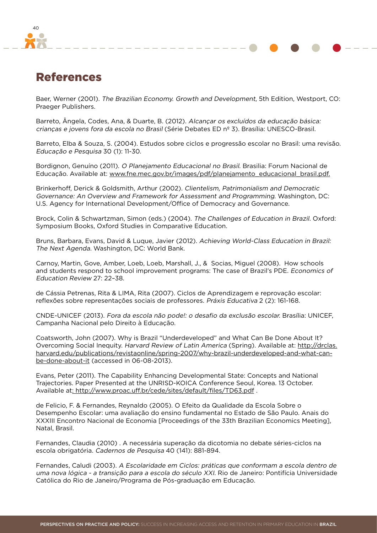<span id="page-39-0"></span>

### References

Baer, Werner (2001). The Brazilian Economy. Growth and Development, 5th Edition, Westport, CO: Praeger Publishers.

Barreto, Ângela, Codes, Ana, & Duarte, B. (2012). Alcançar os excluídos da educação básica: crianças e jovens fora da escola no Brasil (Série Debates ED nº 3). Brasília: UNESCO-Brasil.

Barreto, Elba & Souza, S. (2004). Estudos sobre ciclos e progressão escolar no Brasil: uma revisão. Educação e Pesquisa 30 (1): 11-30.

Bordignon, Genuíno (2011). O Planejamento Educacional no Brasil. Brasilia: Forum Nacional de Educação. Available at: www.fne.mec.gov.br/images/pdf/planejamento\_educacional\_brasil.pdf.

Brinkerhoff, Derick & Goldsmith, Arthur (2002). Clientelism, Patrimonialism and Democratic Governance: An Overview and Framework for Assessment and Programming. Washington, DC: U.S. Agency for International Development/Office of Democracy and Governance.

Brock, Colin & Schwartzman, Simon (eds.) (2004). The Challenges of Education in Brazil. Oxford: Symposium Books, Oxford Studies in Comparative Education.

Bruns, Barbara, Evans, David & Luque, Javier (2012). Achieving World-Class Education in Brazil: The Next Agenda. Washington, DC: World Bank.

Carnoy, Martin, Gove, Amber, Loeb, Loeb, Marshall, J., & Socias, Miguel (2008). How schools and students respond to school improvement programs: The case of Brazil's PDE. Economics of Education Review 27: 22–38.

de Cássia Petrenas, Rita & LIMA, Rita (2007). Ciclos de Aprendizagem e reprovação escolar: reflexões sobre representações sociais de professores. Práxis Educativa 2 (2): 161-168.

CNDE-UNICEF (2013). Fora da escola não pode!: o desafio da exclusão escolar. Brasília: UNICEF, Campanha Nacional pelo Direito à Educação.

Coatsworth, John (2007). Why is Brazil "Underdeveloped" and What Can Be Done About It? Overcoming Social Inequity. Harvard Review of Latin America (Spring). Available at: http://drclas. harvard.edu/publications/revistaonline/spring-2007/why-brazil-underdeveloped-and-what-canbe-done-about-it (accessed in 06-08-2013).

Evans, Peter (2011). The Capability Enhancing Developmental State: Concepts and National Trajectories. Paper Presented at the UNRISD-KOICA Conference Seoul, Korea. 13 October. Available at: http://www.proac.uff.br/cede/sites/default/files/TD63.pdf.

de Felicio, F. & Fernandes, Reynaldo (2005). O Efeito da Qualidade da Escola Sobre o Desempenho Escolar: uma avaliação do ensino fundamental no Estado de São Paulo. Anais do XXXIII Encontro Nacional de Economia [Proceedings of the 33th Brazilian Economics Meeting], Natal, Brasil.

Fernandes, Claudia (2010) . A necessária superação da dicotomia no debate séries-ciclos na escola obrigatória. Cadernos de Pesquisa 40 (141): 881-894.

Fernandes, Caludi (2003). A Escolaridade em Ciclos: práticas que conformam a escola dentro de uma nova lógica - a transição para a escola do século XXI. Rio de Janeiro: Pontifícia Universidade Católica do Rio de Janeiro/Programa de Pós-graduação em Educação.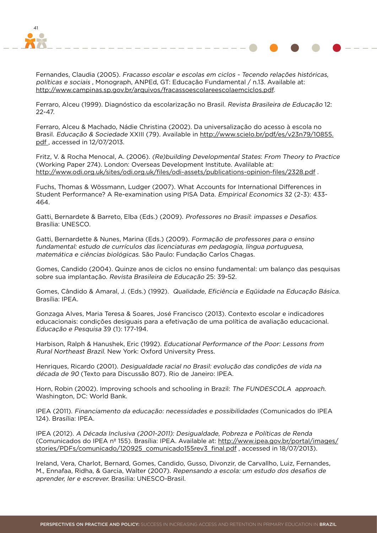

Fernandes, Claudia (2005). Fracasso escolar e escolas em ciclos - Tecendo relações históricas, políticas e sociais , Monograph, ANPEd, GT: Educação Fundamental / n.13. Available at: http://www.campinas.sp.gov.br/arquivos/fracassoescolareescolaemciclos.pdf.

Ferraro, Alceu (1999). Diagnóstico da escolarização no Brasil. Revista Brasileira de Educação 12: 22-47.

Ferraro, Alceu & Machado, Nádie Christina (2002). Da universalização do acesso à escola no Brasil. Educação & Sociedade XXIII (79). Available in http://www.scielo.br/pdf/es/v23n79/10855. pdf , accessed in 12/07/2013.

Fritz, V. & Rocha Menocal, A. (2006). (Re)building Developmental States: From Theory to Practice (Working Paper 274). London: Overseas Development Institute. Avalilable at: http://www.odi.org.uk/sites/odi.org.uk/files/odi-assets/publications-opinion-files/2328.pdf .

Fuchs, Thomas & Wössmann, Ludger (2007). What Accounts for International Differences in Student Performance? A Re-examination using PISA Data. Empirical Economics 32 (2-3): 433- 464.

Gatti, Bernardete & Barreto, Elba (Eds.) (2009). Professores no Brasil: impasses e Desafios. Brasília: UNESCO.

Gatti, Bernardette & Nunes, Marina (Eds.) (2009). Formação de professores para o ensino fundamental: estudo de currículos das licenciaturas em pedagogia, língua portuguesa, matemática e ciências biológicas. São Paulo: Fundação Carlos Chagas.

Gomes, Candido (2004). Quinze anos de ciclos no ensino fundamental: um balanço das pesquisas sobre sua implantação. Revista Brasileira de Educação 25: 39-52.

Gomes, Cândido & Amaral, J. (Eds.) (1992). Qualidade, Eficiência e Eqüidade na Educação Básica. Brasília: IPEA.

Gonzaga Alves, Maria Teresa & Soares, José Francisco (2013). Contexto escolar e indicadores educacionais: condições desiguais para a efetivação de uma política de avaliação educacional. Educação e Pesquisa 39 (1): 177-194.

Harbison, Ralph & Hanushek, Eric (1992). Educational Performance of the Poor: Lessons from Rural Northeast Brazil. New York: Oxford University Press.

Henriques, Ricardo (2001). Desigualdade racial no Brasil: evolução das condições de vida na década de 90 (Texto para Discussão 807). Rio de Janeiro: IPEA.

Horn, Robin (2002). Improving schools and schooling in Brazil: The FUNDESCOLA approach. Washington, DC: World Bank.

IPEA (2011). Financiamento da educação: necessidades e possibilidades (Comunicados do IPEA 124). Brasília: IPEA.

IPEA (2012). A Década Inclusiva (2001-2011): Desigualdade, Pobreza e Políticas de Renda (Comunicados do IPEA nº 155). Brasília: IPEA. Available at: http://www.ipea.gov.br/portal/images/ stories/PDFs/comunicado/120925\_comunicado155rev3\_final.pdf, accessed in 18/07/2013).

Ireland, Vera, Charlot, Bernard, Gomes, Candido, Gusso, Divonzir, de Carvallho, Luiz, Fernandes, M., Ennafaa, Ridha, & Garcia, Walter (2007). Repensando a escola: um estudo dos desafios de aprender, ler e escrever. Brasilia: UNESCO-Brasil.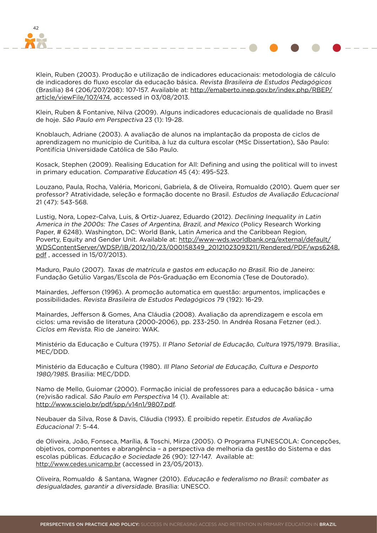

Klein, Ruben (2003). Produção e utilização de indicadores educacionais: metodologia de cálculo de indicadores do fluxo escolar da educação básica. Revista Brasileira de Estudos Pedagógicos (Brasília) 84 (206/207/208): 107-157. Available at: http://emaberto.inep.gov.br/index.php/RBEP/ article/viewFile/107/474, accessed in 03/08/2013.

Klein, Ruben & Fontanive, Nilva (2009). Alguns indicadores educacionais de qualidade no Brasil de hoje. São Paulo em Perspectiva 23 (1): 19-28.

Knoblauch, Adriane (2003). A avaliação de alunos na implantação da proposta de ciclos de aprendizagem no município de Curitiba, à luz da cultura escolar (MSc Dissertation), São Paulo: Pontifícia Universidade Católica de São Paulo.

Kosack, Stephen (2009). Realising Education for All: Defining and using the political will to invest in primary education. Comparative Education 45 (4): 495-523.

Louzano, Paula, Rocha, Valéria, Moriconi, Gabriela, & de Oliveira, Romualdo (2010). Quem quer ser professor? Atratividade, seleção e formação docente no Brasil. Estudos de Avaliação Educacional 21 (47): 543-568.

Lustig, Nora, Lopez-Calva, Luis, & Ortiz-Juarez, Eduardo (2012). Declining Inequality in Latin America in the 2000s: The Cases of Argentina, Brazil, and Mexico (Policy Research Working Paper, # 6248). Washington, DC: World Bank, Latin America and the Caribbean Region, Poverty, Equity and Gender Unit. Available at: http://www-wds.worldbank.org/external/default/ WDSContentServer/WDSP/IB/2012/10/23/000158349\_20121023093211/Rendered/PDF/wps6248. pdf , accessed in 15/07/2013).

Maduro, Paulo (2007). Taxas de matrícula e gastos em educação no Brasil. Rio de Janeiro: Fundação Getúlio Vargas/Escola de Pós-Graduação em Economia (Tese de Doutorado).

Mainardes, Jefferson (1996). A promoção automatica em questão: argumentos, implicações e possibilidades. Revista Brasileira de Estudos Pedagógicos 79 (192): 16-29.

Mainardes, Jefferson & Gomes, Ana Cláudia (2008). Avaliação da aprendizagem e escola em ciclos: uma revisão de literatura (2000-2006), pp. 233-250. In Andréa Rosana Fetzner (ed.). Ciclos em Revista. Rio de Janeiro: WAK.

Ministério da Educação e Cultura (1975). II Plano Setorial de Educação, Cultura 1975/1979. Brasilia:, MEC/DDD.

Ministério da Educação e Cultura (1980). Ill Plano Setorial de Educação, Cultura e Desporto 1980/1985. Brasilia: MEC/DDD.

Namo de Mello, Guiomar (2000). Formação inicial de professores para a educação básica - uma (re)visão radical. São Paulo em Perspectiva 14 (1). Available at: http://www.scielo.br/pdf/spp/v14n1/9807.pdf.

Neubauer da Silva, Rose & Davis, Cláudia (1993). É proibido repetir. Estudos de Avaliação Educacional 7: 5-44.

de Oliveira, João, Fonseca, Marília, & Toschi, Mirza (2005). O Programa FUNESCOLA: Concepções, objetivos, componentes e abrangência – a perspectiva de melhoria da gestão do Sistema e das escolas públicas. Educação e Sociedade 26 (90): 127-147. Available at: http://www.cedes.unicamp.br (accessed in 23/05/2013).

Oliveira, Romualdo & Santana, Wagner (2010). Educação e federalismo no Brasil: combater as desigualdades, garantir a diversidade. Brasília: UNESCO.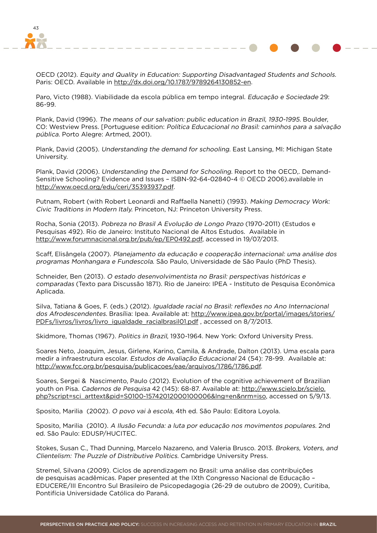

OECD (2012). Equity and Quality in Education: Supporting Disadvantaged Students and Schools. Paris: OECD. Available in http://dx.doi.org/10.1787/9789264130852-en.

Paro, Victo (1988). Viabilidade da escola pública em tempo integral. Educação e Sociedade 29: 86-99.

Plank, David (1996). The means of our salvation: public education in Brazil, 1930-1995. Boulder, CO: Westview Press. [Portuguese edition: Política Educacional no Brasil: caminhos para a salvação pública. Porto Alegre: Artmed, 2001).

Plank, David (2005). Understanding the demand for schooling. East Lansing, MI: Michigan State University.

Plank, David (2006). Understanding the Demand for Schooling. Report to the OECD,. Demand-Sensitive Schooling? Evidence and Issues – ISBN-92-64-02840-4 © OECD 2006).available in http://www.oecd.org/edu/ceri/35393937.pdf.

Putnam, Robert (with Robert Leonardi and Raffaella Nanetti) (1993). Making Democracy Work: Civic Traditions in Modern Italy. Princeton, NJ: Princeton University Press.

Rocha, Sonia (2013). Pobreza no Brasil A Evolução de Longo Prazo (1970-2011) (Estudos e Pesquisas 492). Rio de Janeiro: Instituto Nacional de Altos Estudos. Available in http://www.forumnacional.org.br/pub/ep/EP0492.pdf, accessed in 19/07/2013.

Scaff, Elisângela (2007). Planejamento da educação e cooperação internacional: uma análise dos programas Monhangara e Fundescola. São Paulo, Universidade de São Paulo (PhD Thesis).

Schneider, Ben (2013). O estado desenvolvimentista no Brasil: perspectivas históricas e comparadas (Texto para Discussão 1871). Rio de Janeiro: IPEA - Instituto de Pesquisa Econômica Aplicada.

Silva, Tatiana & Goes, F. (eds.) (2012). Igualdade racial no Brasil: reflexões no Ano Internacional dos Afrodescendentes. Brasília: Ipea. Available at: http://www.ipea.gov.br/portal/images/stories/ PDFs/livros/livros/livro\_igualdade\_racialbrasil01.pdf, accessed on 8/7/2013.

Skidmore, Thomas (1967). Politics in Brazil, 1930-1964. New York: Oxford University Press.

Soares Neto, Joaquim, Jesus, Girlene, Karino, Camila, & Andrade, Dalton (2013). Uma escala para medir a infraestrutura escolar. Estudos de Avaliação Educacional 24 (54): 78-99. Available at: http://www.fcc.org.br/pesquisa/publicacoes/eae/arquivos/1786/1786.pdf.

Soares, Sergei & Nascimento, Paulo (2012). Evolution of the cognitive achievement of Brazilian youth on Pisa. Cadernos de Pesquisa 42 (145): 68-87. Available at: http://www.scielo.br/scielo. php?script=sci\_arttext&pid=S0100-15742012000100006&lng=en&nrm=iso, accessed on 5/9/13.

Sposito, Marilia (2002). O povo vai à escola, 4th ed. São Paulo: Editora Loyola.

Sposito, Marilia (2010). A Ilusão Fecunda: a luta por educação nos movimentos populares. 2nd ed. São Paulo: EDUSP/HUCITEC.

Stokes, Susan C., Thad Dunning, Marcelo Nazareno, and Valeria Brusco. 2013. Brokers, Voters, and Clientelism: The Puzzle of Distributive Politics. Cambridge University Press.

Stremel, Silvana (2009). Ciclos de aprendizagem no Brasil: uma análise das contribuições de pesquisas acadêmicas. Paper presented at the IXth Congresso Nacional de Educação – EDUCERE/III Encontro Sul Brasileiro de Psicopedagogia (26-29 de outubro de 2009), Curitiba, Pontifícia Universidade Católica do Paraná.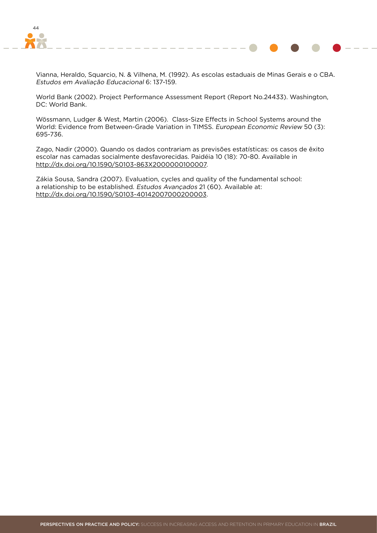

Vianna, Heraldo, Squarcio, N. & Vilhena, M. (1992). As escolas estaduais de Minas Gerais e o CBA. Estudos em Avaliação Educacional 6: 137-159.

World Bank (2002). Project Performance Assessment Report (Report No.24433). Washington, DC: World Bank.

Wössmann, Ludger & West, Martin (2006). Class-Size Effects in School Systems around the World: Evidence from Between-Grade Variation in TIMSS. European Economic Review 50 (3): 695-736.

Zago, Nadir (2000). Quando os dados contrariam as previsões estatísticas: os casos de êxito escolar nas camadas socialmente desfavorecidas. Paidéia 10 (18): 70-80. Available in http://dx.doi.org/10.1590/S0103-863X2000000100007.

Zákia Sousa, Sandra (2007). Evaluation, cycles and quality of the fundamental school: a relationship to be established. Estudos Avançados 21 (60). Available at: http://dx.doi.org/10.1590/S0103-40142007000200003.